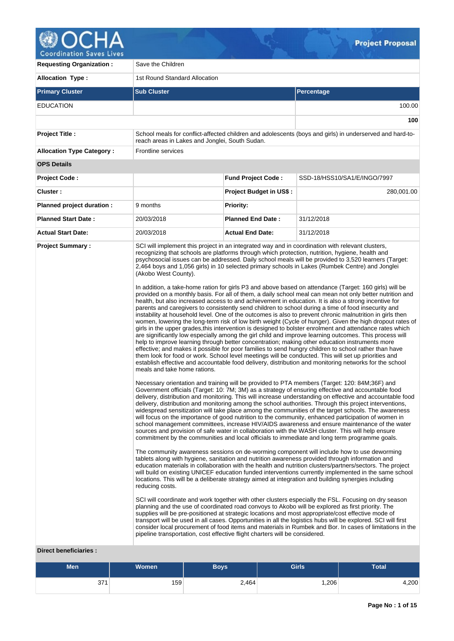

| <b>Requesting Organization:</b>                | Save the Children                                                                                                                                      |                                |                                                                                                                                                                                                                                                                                                                                                                                                                                                                                                                                                                                                                                                                                                                                                                                                                                                                                                                                                                                                                                                                                                                                                                                                                                                                                                                                                                                                                                                                                                                                                                                                                                                                                                                                                                                                                                                                                                                                                                                                                                                                                                                                                                                                                                                                                                                                                                                                                                                                                                                                                                                                                                                                                                                                                                                                                                                                                                                                                                                                                                                                                                                                                                                                                                                                                                                                                                                                                                                                                                                                                                                                                                                                                                                                                                    |  |  |  |  |  |  |
|------------------------------------------------|--------------------------------------------------------------------------------------------------------------------------------------------------------|--------------------------------|--------------------------------------------------------------------------------------------------------------------------------------------------------------------------------------------------------------------------------------------------------------------------------------------------------------------------------------------------------------------------------------------------------------------------------------------------------------------------------------------------------------------------------------------------------------------------------------------------------------------------------------------------------------------------------------------------------------------------------------------------------------------------------------------------------------------------------------------------------------------------------------------------------------------------------------------------------------------------------------------------------------------------------------------------------------------------------------------------------------------------------------------------------------------------------------------------------------------------------------------------------------------------------------------------------------------------------------------------------------------------------------------------------------------------------------------------------------------------------------------------------------------------------------------------------------------------------------------------------------------------------------------------------------------------------------------------------------------------------------------------------------------------------------------------------------------------------------------------------------------------------------------------------------------------------------------------------------------------------------------------------------------------------------------------------------------------------------------------------------------------------------------------------------------------------------------------------------------------------------------------------------------------------------------------------------------------------------------------------------------------------------------------------------------------------------------------------------------------------------------------------------------------------------------------------------------------------------------------------------------------------------------------------------------------------------------------------------------------------------------------------------------------------------------------------------------------------------------------------------------------------------------------------------------------------------------------------------------------------------------------------------------------------------------------------------------------------------------------------------------------------------------------------------------------------------------------------------------------------------------------------------------------------------------------------------------------------------------------------------------------------------------------------------------------------------------------------------------------------------------------------------------------------------------------------------------------------------------------------------------------------------------------------------------------------------------------------------------------------------------------------------------|--|--|--|--|--|--|
| <b>Allocation Type:</b>                        | 1st Round Standard Allocation                                                                                                                          |                                |                                                                                                                                                                                                                                                                                                                                                                                                                                                                                                                                                                                                                                                                                                                                                                                                                                                                                                                                                                                                                                                                                                                                                                                                                                                                                                                                                                                                                                                                                                                                                                                                                                                                                                                                                                                                                                                                                                                                                                                                                                                                                                                                                                                                                                                                                                                                                                                                                                                                                                                                                                                                                                                                                                                                                                                                                                                                                                                                                                                                                                                                                                                                                                                                                                                                                                                                                                                                                                                                                                                                                                                                                                                                                                                                                                    |  |  |  |  |  |  |
| <b>Primary Cluster</b>                         | <b>Sub Cluster</b>                                                                                                                                     |                                | Percentage                                                                                                                                                                                                                                                                                                                                                                                                                                                                                                                                                                                                                                                                                                                                                                                                                                                                                                                                                                                                                                                                                                                                                                                                                                                                                                                                                                                                                                                                                                                                                                                                                                                                                                                                                                                                                                                                                                                                                                                                                                                                                                                                                                                                                                                                                                                                                                                                                                                                                                                                                                                                                                                                                                                                                                                                                                                                                                                                                                                                                                                                                                                                                                                                                                                                                                                                                                                                                                                                                                                                                                                                                                                                                                                                                         |  |  |  |  |  |  |
| <b>EDUCATION</b>                               |                                                                                                                                                        |                                | 100.00                                                                                                                                                                                                                                                                                                                                                                                                                                                                                                                                                                                                                                                                                                                                                                                                                                                                                                                                                                                                                                                                                                                                                                                                                                                                                                                                                                                                                                                                                                                                                                                                                                                                                                                                                                                                                                                                                                                                                                                                                                                                                                                                                                                                                                                                                                                                                                                                                                                                                                                                                                                                                                                                                                                                                                                                                                                                                                                                                                                                                                                                                                                                                                                                                                                                                                                                                                                                                                                                                                                                                                                                                                                                                                                                                             |  |  |  |  |  |  |
|                                                |                                                                                                                                                        |                                | 100                                                                                                                                                                                                                                                                                                                                                                                                                                                                                                                                                                                                                                                                                                                                                                                                                                                                                                                                                                                                                                                                                                                                                                                                                                                                                                                                                                                                                                                                                                                                                                                                                                                                                                                                                                                                                                                                                                                                                                                                                                                                                                                                                                                                                                                                                                                                                                                                                                                                                                                                                                                                                                                                                                                                                                                                                                                                                                                                                                                                                                                                                                                                                                                                                                                                                                                                                                                                                                                                                                                                                                                                                                                                                                                                                                |  |  |  |  |  |  |
| <b>Project Title:</b>                          | reach areas in Lakes and Jonglei, South Sudan.                                                                                                         |                                | School meals for conflict-affected children and adolescents (boys and girls) in underserved and hard-to-                                                                                                                                                                                                                                                                                                                                                                                                                                                                                                                                                                                                                                                                                                                                                                                                                                                                                                                                                                                                                                                                                                                                                                                                                                                                                                                                                                                                                                                                                                                                                                                                                                                                                                                                                                                                                                                                                                                                                                                                                                                                                                                                                                                                                                                                                                                                                                                                                                                                                                                                                                                                                                                                                                                                                                                                                                                                                                                                                                                                                                                                                                                                                                                                                                                                                                                                                                                                                                                                                                                                                                                                                                                           |  |  |  |  |  |  |
| <b>Allocation Type Category:</b>               | Frontline services                                                                                                                                     |                                |                                                                                                                                                                                                                                                                                                                                                                                                                                                                                                                                                                                                                                                                                                                                                                                                                                                                                                                                                                                                                                                                                                                                                                                                                                                                                                                                                                                                                                                                                                                                                                                                                                                                                                                                                                                                                                                                                                                                                                                                                                                                                                                                                                                                                                                                                                                                                                                                                                                                                                                                                                                                                                                                                                                                                                                                                                                                                                                                                                                                                                                                                                                                                                                                                                                                                                                                                                                                                                                                                                                                                                                                                                                                                                                                                                    |  |  |  |  |  |  |
| <b>OPS Details</b>                             |                                                                                                                                                        |                                |                                                                                                                                                                                                                                                                                                                                                                                                                                                                                                                                                                                                                                                                                                                                                                                                                                                                                                                                                                                                                                                                                                                                                                                                                                                                                                                                                                                                                                                                                                                                                                                                                                                                                                                                                                                                                                                                                                                                                                                                                                                                                                                                                                                                                                                                                                                                                                                                                                                                                                                                                                                                                                                                                                                                                                                                                                                                                                                                                                                                                                                                                                                                                                                                                                                                                                                                                                                                                                                                                                                                                                                                                                                                                                                                                                    |  |  |  |  |  |  |
| <b>Project Code:</b>                           |                                                                                                                                                        | <b>Fund Project Code:</b>      | SSD-18/HSS10/SA1/E/INGO/7997                                                                                                                                                                                                                                                                                                                                                                                                                                                                                                                                                                                                                                                                                                                                                                                                                                                                                                                                                                                                                                                                                                                                                                                                                                                                                                                                                                                                                                                                                                                                                                                                                                                                                                                                                                                                                                                                                                                                                                                                                                                                                                                                                                                                                                                                                                                                                                                                                                                                                                                                                                                                                                                                                                                                                                                                                                                                                                                                                                                                                                                                                                                                                                                                                                                                                                                                                                                                                                                                                                                                                                                                                                                                                                                                       |  |  |  |  |  |  |
| Cluster:                                       |                                                                                                                                                        | <b>Project Budget in US\$:</b> | 280,001.00                                                                                                                                                                                                                                                                                                                                                                                                                                                                                                                                                                                                                                                                                                                                                                                                                                                                                                                                                                                                                                                                                                                                                                                                                                                                                                                                                                                                                                                                                                                                                                                                                                                                                                                                                                                                                                                                                                                                                                                                                                                                                                                                                                                                                                                                                                                                                                                                                                                                                                                                                                                                                                                                                                                                                                                                                                                                                                                                                                                                                                                                                                                                                                                                                                                                                                                                                                                                                                                                                                                                                                                                                                                                                                                                                         |  |  |  |  |  |  |
| Planned project duration :                     | 9 months                                                                                                                                               | <b>Priority:</b>               |                                                                                                                                                                                                                                                                                                                                                                                                                                                                                                                                                                                                                                                                                                                                                                                                                                                                                                                                                                                                                                                                                                                                                                                                                                                                                                                                                                                                                                                                                                                                                                                                                                                                                                                                                                                                                                                                                                                                                                                                                                                                                                                                                                                                                                                                                                                                                                                                                                                                                                                                                                                                                                                                                                                                                                                                                                                                                                                                                                                                                                                                                                                                                                                                                                                                                                                                                                                                                                                                                                                                                                                                                                                                                                                                                                    |  |  |  |  |  |  |
| <b>Planned Start Date:</b>                     | 20/03/2018                                                                                                                                             | <b>Planned End Date:</b>       | 31/12/2018                                                                                                                                                                                                                                                                                                                                                                                                                                                                                                                                                                                                                                                                                                                                                                                                                                                                                                                                                                                                                                                                                                                                                                                                                                                                                                                                                                                                                                                                                                                                                                                                                                                                                                                                                                                                                                                                                                                                                                                                                                                                                                                                                                                                                                                                                                                                                                                                                                                                                                                                                                                                                                                                                                                                                                                                                                                                                                                                                                                                                                                                                                                                                                                                                                                                                                                                                                                                                                                                                                                                                                                                                                                                                                                                                         |  |  |  |  |  |  |
| <b>Actual Start Date:</b>                      | 20/03/2018                                                                                                                                             | <b>Actual End Date:</b>        | 31/12/2018                                                                                                                                                                                                                                                                                                                                                                                                                                                                                                                                                                                                                                                                                                                                                                                                                                                                                                                                                                                                                                                                                                                                                                                                                                                                                                                                                                                                                                                                                                                                                                                                                                                                                                                                                                                                                                                                                                                                                                                                                                                                                                                                                                                                                                                                                                                                                                                                                                                                                                                                                                                                                                                                                                                                                                                                                                                                                                                                                                                                                                                                                                                                                                                                                                                                                                                                                                                                                                                                                                                                                                                                                                                                                                                                                         |  |  |  |  |  |  |
| <b>Project Summary:</b><br>Diract honoficiario | (Akobo West County).<br>meals and take home rations.<br>reducing costs.<br>pipeline transportation, cost effective flight charters will be considered. |                                | SCI will implement this project in an integrated way and in coordination with relevant clusters,<br>recognizing that schools are platforms through which protection, nutrition, hygiene, health and<br>psychosocial issues can be addressed. Daily school meals will be provided to 3,520 learners (Target:<br>2,464 boys and 1,056 girls) in 10 selected primary schools in Lakes (Rumbek Centre) and Jonglei<br>In addition, a take-home ration for girls P3 and above based on attendance (Target: 160 girls) will be<br>provided on a monthly basis. For all of them, a daily school meal can mean not only better nutrition and<br>health, but also increased access to and achievement in education. It is also a strong incentive for<br>parents and caregivers to consistently send children to school during a time of food insecurity and<br>instability at household level. One of the outcomes is also to prevent chronic malnutrition in girls then<br>women, lowering the long-term risk of low birth weight (Cycle of hunger). Given the high dropout rates of<br>girls in the upper grades, this intervention is designed to bolster enrolment and attendance rates which<br>are significantly low especially among the girl child and improve learning outcomes. This process will<br>help to improve learning through better concentration; making other education instruments more<br>effective; and makes it possible for poor families to send hungry children to school rather than have<br>them look for food or work. School level meetings will be conducted. This will set up priorities and<br>establish effective and accountable food delivery, distribution and monitoring networks for the school<br>Necessary orientation and training will be provided to PTA members (Target: 120: 84M;36F) and<br>Government officials (Target: 10: 7M; 3M) as a strategy of ensuring effective and accountable food<br>delivery, distribution and monitoring. This will increase understanding on effective and accountable food<br>delivery, distribution and monitoring among the school authorities. Through this project interventions,<br>widespread sensitization will take place among the communities of the target schools. The awareness<br>will focus on the importance of good nutrition to the community, enhanced participation of women in<br>school management committees, increase HIV/AIDS awareness and ensure maintenance of the water<br>sources and provision of safe water in collaboration with the WASH cluster. This will help ensure<br>commitment by the communities and local officials to immediate and long term programme goals.<br>The community awareness sessions on de-worming component will include how to use deworming<br>tablets along with hygiene, sanitation and nutrition awareness provided through information and<br>education materials in collaboration with the health and nutrition clusters/partners/sectors. The project<br>will build on existing UNICEF education funded interventions currently implemented in the same school<br>locations. This will be a deliberate strategy aimed at integration and building synergies including<br>SCI will coordinate and work together with other clusters especially the FSL. Focusing on dry season<br>planning and the use of coordinated road convoys to Akobo will be explored as first priority. The<br>supplies will be pre-positioned at strategic locations and most appropriate/cost effective mode of<br>transport will be used in all cases. Opportunities in all the logistics hubs will be explored. SCI will first<br>consider local procurement of food items and materials in Rumbek and Bor. In cases of limitations in the |  |  |  |  |  |  |

# **Direct beneficiaries :**

| <b>Men</b> | <b>Women</b> | <b>Boys</b> | <b>Girls</b> | Total |
|------------|--------------|-------------|--------------|-------|
| 371        | 159          | 2,464       | 1,206        | 4,200 |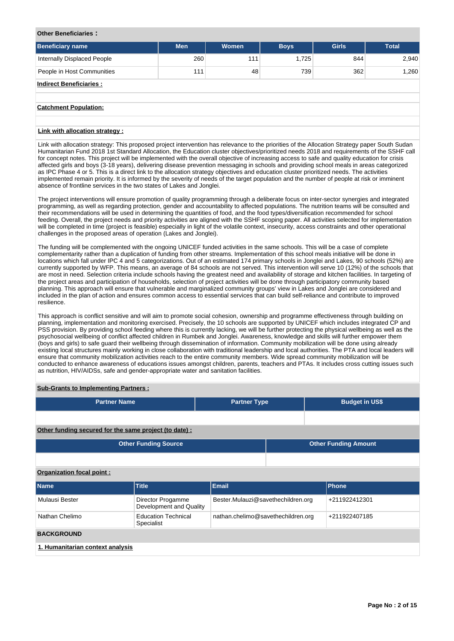# **Other Beneficiaries :**

| <b>Beneficiary name</b>            | <b>Men</b> | Women | <b>Boys</b> | <b>Girls</b> | <b>Total</b> |
|------------------------------------|------------|-------|-------------|--------------|--------------|
| <b>Internally Displaced People</b> | 260        | 111   | 1,725       | 844          | 2,940        |
| People in Host Communities         | 111        | 48    | 739         | 362          | 1,260        |
| <b>Indirect Beneficiaries:</b>     |            |       |             |              |              |
|                                    |            |       |             |              |              |
| <b>Catchment Population:</b>       |            |       |             |              |              |
|                                    |            |       |             |              |              |
| Link with allocation strategy:     |            |       |             |              |              |

Link with allocation strategy: This proposed project intervention has relevance to the priorities of the Allocation Strategy paper South Sudan Humanitarian Fund 2018 1st Standard Allocation, the Education cluster objectives/prioritized needs 2018 and requirements of the SSHF call for concept notes. This project will be implemented with the overall objective of increasing access to safe and quality education for crisis affected girls and boys (3-18 years), delivering disease prevention messaging in schools and providing school meals in areas categorized as IPC Phase 4 or 5. This is a direct link to the allocation strategy objectives and education cluster prioritized needs. The activities implemented remain priority. It is informed by the severity of needs of the target population and the number of people at risk or imminent absence of frontline services in the two states of Lakes and Jonglei.

The project interventions will ensure promotion of quality programming through a deliberate focus on inter-sector synergies and integrated programming, as well as regarding protection, gender and accountability to affected populations. The nutrition teams will be consulted and their recommendations will be used in determining the quantities of food, and the food types/diversification recommended for school feeding. Overall, the project needs and priority activities are aligned with the SSHF scoping paper. All activities selected for implementation will be completed in time (project is feasible) especially in light of the volatile context, insecurity, access constraints and other operational challenges in the proposed areas of operation (Lakes and Jonglei).

The funding will be complemented with the ongoing UNICEF funded activities in the same schools. This will be a case of complete complementarity rather than a duplication of funding from other streams. Implementation of this school meals initiative will be done in locations which fall under IPC 4 and 5 categorizations. Out of an estimated 174 primary schools in Jonglei and Lakes, 90 schools (52%) are currently supported by WFP. This means, an average of 84 schools are not served. This intervention will serve 10 (12%) of the schools that are most in need. Selection criteria include schools having the greatest need and availability of storage and kitchen facilities. In targeting of the project areas and participation of households, selection of project activities will be done through participatory community based planning. This approach will ensure that vulnerable and marginalized community groups' view in Lakes and Jonglei are considered and included in the plan of action and ensures common access to essential services that can build self-reliance and contribute to improved resilience.

This approach is conflict sensitive and will aim to promote social cohesion, ownership and programme effectiveness through building on planning, implementation and monitoring exercised. Precisely, the 10 schools are supported by UNICEF which includes integrated CP and PSS provision. By providing school feeding where this is currently lacking, we will be further protecting the physical wellbeing as well as the psychosocial wellbeing of conflict affected children in Rumbek and Jonglei. Awareness, knowledge and skills will further empower them (boys and girls) to safe guard their wellbeing through dissemination of information. Community mobilization will be done using already existing local structures mainly working in close collaboration with traditional leadership and local authorities. The PTA and local leaders will ensure that community mobilization activities reach to the entire community members. Wide spread community mobilization will be conducted to enhance awareness of educations issues amongst children, parents, teachers and PTAs. It includes cross cutting issues such as nutrition, HIV/AIDSs, safe and gender-appropriate water and sanitation facilities.

## **Sub-Grants to Implementing Partners :**

| <b>Partner Name</b>                                    |                                              | <b>Partner Type</b>                |  |                             | <b>Budget in US\$</b> |  |  |  |  |
|--------------------------------------------------------|----------------------------------------------|------------------------------------|--|-----------------------------|-----------------------|--|--|--|--|
|                                                        |                                              |                                    |  |                             |                       |  |  |  |  |
| Other funding secured for the same project (to date) : |                                              |                                    |  |                             |                       |  |  |  |  |
| <b>Other Funding Source</b>                            |                                              |                                    |  | <b>Other Funding Amount</b> |                       |  |  |  |  |
|                                                        |                                              |                                    |  |                             |                       |  |  |  |  |
| Organization focal point:                              |                                              |                                    |  |                             |                       |  |  |  |  |
| Name                                                   | <b>Title</b>                                 | <b>Email</b>                       |  |                             | Phone                 |  |  |  |  |
| Mulausi Bester                                         | Director Progamme<br>Development and Quality | Bester.Mulauzi@savethechildren.org |  |                             | +211922412301         |  |  |  |  |
| Nathan Chelimo                                         | <b>Education Technical</b><br>Specialist     | nathan.chelimo@savethechildren.org |  |                             | +211922407185         |  |  |  |  |
| <b>BACKGROUND</b>                                      |                                              |                                    |  |                             |                       |  |  |  |  |
| 1. Humanitarian context analysis                       |                                              |                                    |  |                             |                       |  |  |  |  |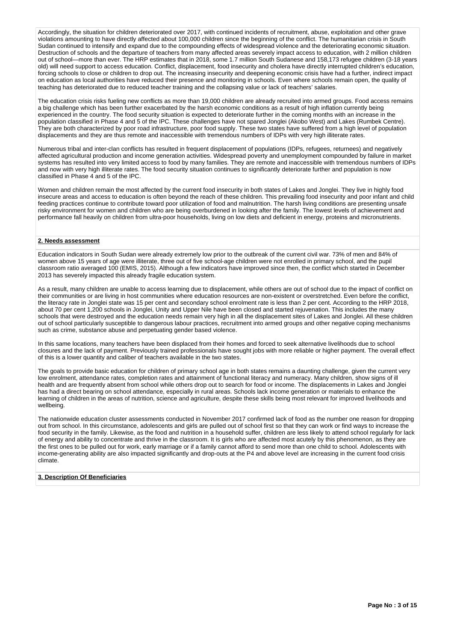Accordingly, the situation for children deteriorated over 2017, with continued incidents of recruitment, abuse, exploitation and other grave violations amounting to have directly affected about 100,000 children since the beginning of the conflict. The humanitarian crisis in South Sudan continued to intensify and expand due to the compounding effects of widespread violence and the deteriorating economic situation. Destruction of schools and the departure of teachers from many affected areas severely impact access to education, with 2 million children out of school—more than ever. The HRP estimates that in 2018, some 1.7 million South Sudanese and 158,173 refugee children (3-18 years old) will need support to access education. Conflict, displacement, food insecurity and cholera have directly interrupted children's education, forcing schools to close or children to drop out. The increasing insecurity and deepening economic crisis have had a further, indirect impact on education as local authorities have reduced their presence and monitoring in schools. Even where schools remain open, the quality of teaching has deteriorated due to reduced teacher training and the collapsing value or lack of teachers' salaries.

The education crisis risks fueling new conflicts as more than 19,000 children are already recruited into armed groups. Food access remains a big challenge which has been further exacerbated by the harsh economic conditions as a result of high inflation currently being experienced in the country. The food security situation is expected to deteriorate further in the coming months with an increase in the population classified in Phase 4 and 5 of the IPC. These challenges have not spared Jonglei (Akobo West) and Lakes (Rumbek Centre). They are both characterized by poor road infrastructure, poor food supply. These two states have suffered from a high level of population displacements and they are thus remote and inaccessible with tremendous numbers of IDPs with very high illiterate rates.

Numerous tribal and inter-clan conflicts has resulted in frequent displacement of populations (IDPs, refugees, returnees) and negatively affected agricultural production and income generation activities. Widespread poverty and unemployment compounded by failure in market systems has resulted into very limited access to food by many families. They are remote and inaccessible with tremendous numbers of IDPs and now with very high illiterate rates. The food security situation continues to significantly deteriorate further and population is now classified in Phase 4 and 5 of the IPC.

Women and children remain the most affected by the current food insecurity in both states of Lakes and Jonglei. They live in highly food insecure areas and access to education is often beyond the reach of these children. This prevailing food insecurity and poor infant and child feeding practices continue to contribute toward poor utilization of food and malnutrition. The harsh living conditions are presenting unsafe risky environment for women and children who are being overburdened in looking after the family. The lowest levels of achievement and performance fall heavily on children from ultra-poor households, living on low diets and deficient in energy, proteins and micronutrients.

## **2. Needs assessment**

Education indicators in South Sudan were already extremely low prior to the outbreak of the current civil war. 73% of men and 84% of women above 15 years of age were illiterate, three out of five school-age children were not enrolled in primary school, and the pupil classroom ratio averaged 100 (EMIS, 2015). Although a few indicators have improved since then, the conflict which started in December 2013 has severely impacted this already fragile education system.

As a result, many children are unable to access learning due to displacement, while others are out of school due to the impact of conflict on their communities or are living in host communities where education resources are non-existent or overstretched. Even before the conflict, the literacy rate in Jonglei state was 15 per cent and secondary school enrolment rate is less than 2 per cent. According to the HRP 2018, about 70 per cent 1,200 schools in Jonglei, Unity and Upper Nile have been closed and started rejuvenation. This includes the many schools that were destroyed and the education needs remain very high in all the displacement sites of Lakes and Jonglei. All these children out of school particularly susceptible to dangerous labour practices, recruitment into armed groups and other negative coping mechanisms such as crime, substance abuse and perpetuating gender based violence.

In this same locations, many teachers have been displaced from their homes and forced to seek alternative livelihoods due to school closures and the lack of payment. Previously trained professionals have sought jobs with more reliable or higher payment. The overall effect of this is a lower quantity and caliber of teachers available in the two states.

The goals to provide basic education for children of primary school age in both states remains a daunting challenge, given the current very low enrolment, attendance rates, completion rates and attainment of functional literacy and numeracy. Many children, show signs of ill health and are frequently absent from school while others drop out to search for food or income. The displacements in Lakes and Jonglei has had a direct bearing on school attendance, especially in rural areas. Schools lack income generation or materials to enhance the learning of children in the areas of nutrition, science and agriculture, despite these skills being most relevant for improved livelihoods and wellbeing.

The nationwide education cluster assessments conducted in November 2017 confirmed lack of food as the number one reason for dropping out from school. In this circumstance, adolescents and girls are pulled out of school first so that they can work or find ways to increase the food security in the family. Likewise, as the food and nutrition in a household suffer, children are less likely to attend school regularly for lack of energy and ability to concentrate and thrive in the classroom. It is girls who are affected most acutely by this phenomenon, as they are the first ones to be pulled out for work, early marriage or if a family cannot afford to send more than one child to school. Adolescents with income-generating ability are also impacted significantly and drop-outs at the P4 and above level are increasing in the current food crisis climate.

## **3. Description Of Beneficiaries**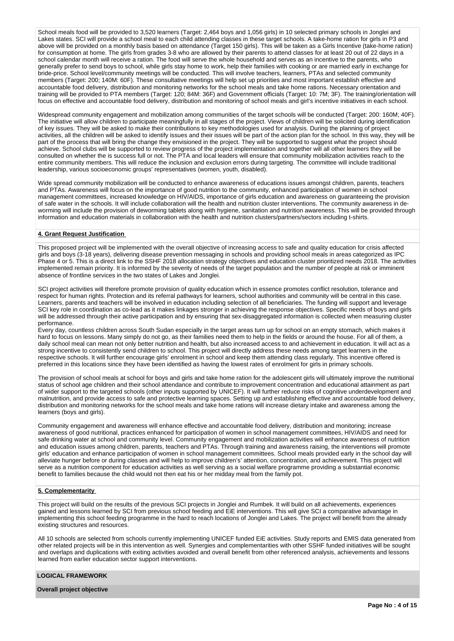School meals food will be provided to 3.520 learners (Target: 2,464 boys and 1,056 girls) in 10 selected primary schools in Jonglei and Lakes states. SCI will provide a school meal to each child attending classes in these target schools. A take-home ration for girls in P3 and above will be provided on a monthly basis based on attendance (Target 150 girls). This will be taken as a Girls Incentive (take-home ration) for consumption at home. The girls from grades 3-8 who are allowed by their parents to attend classes for at least 20 out of 22 days in a school calendar month will receive a ration. The food will serve the whole household and serves as an incentive to the parents, who generally prefer to send boys to school, while girls stay home to work, help their families with cooking or are married early in exchange for bride-price. School level/community meetings will be conducted. This will involve teachers, learners, PTAs and selected community members (Target: 200; 140M: 60F). These consultative meetings will help set up priorities and most important establish effective and accountable food delivery, distribution and monitoring networks for the school meals and take home rations. Necessary orientation and training will be provided to PTA members (Target: 120; 84M: 36F) and Government officials (Target: 10: 7M; 3F). The training/orientation will focus on effective and accountable food delivery, distribution and monitoring of school meals and girl's incentive initiatives in each school.

Widespread community engagement and mobilization among communities of the target schools will be conducted (Target: 200: 160M; 40F). The initiative will allow children to participate meaningfully in all stages of the project. Views of children will be solicited during identification of key issues. They will be asked to make their contributions to key methodologies used for analysis. During the planning of project activities, all the children will be asked to identify issues and their issues will be part of the action plan for the school. In this way, they will be part of the process that will bring the change they envisioned in the project. They will be supported to suggest what the project should achieve. School clubs will be supported to review progress of the project implementation and together will all other learners they will be consulted on whether the is success full or not. The PTA and local leaders will ensure that community mobilization activities reach to the entire community members. This will reduce the inclusion and exclusion errors during targeting. The committee will include traditional leadership, various socioeconomic groups' representatives (women, youth, disabled).

Wide spread community mobilization will be conducted to enhance awareness of educations issues amongst children, parents, teachers and PTAs. Awareness will focus on the importance of good nutrition to the community, enhanced participation of women in school management committees, increased knowledge on HIV/AIDS, importance of girls education and awareness on guaranteeing the provision of safe water in the schools. It will include collaboration will the health and nutrition cluster interventions. The community awareness in deworming will include the provision of deworming tablets along with hygiene, sanitation and nutrition awareness. This will be provided through information and education materials in collaboration with the health and nutrition clusters/partners/sectors including t-shirts.

#### **4. Grant Request Justification**

This proposed project will be implemented with the overall objective of increasing access to safe and quality education for crisis affected girls and boys (3-18 years), delivering disease prevention messaging in schools and providing school meals in areas categorized as IPC Phase 4 or 5. This is a direct link to the SSHF 2018 allocation strategy objectives and education cluster prioritized needs 2018. The activities implemented remain priority. It is informed by the severity of needs of the target population and the number of people at risk or imminent absence of frontline services in the two states of Lakes and Jonglei.

SCI project activities will therefore promote provision of quality education which in essence promotes conflict resolution, tolerance and respect for human rights. Protection and its referral pathways for learners, school authorities and community will be central in this case. Learners, parents and teachers will be involved in education including selection of all beneficiaries. The funding will support and leverage SCI key role in coordination as co-lead as it makes linkages stronger in achieving the response objectives. Specific needs of boys and girls will be addressed through their active participation and by ensuring that sex-disaggregated information is collected when measuring cluster performance.

Every day, countless children across South Sudan especially in the target areas turn up for school on an empty stomach, which makes it hard to focus on lessons. Many simply do not go, as their families need them to help in the fields or around the house. For all of them, a daily school meal can mean not only better nutrition and health, but also increased access to and achievement in education. It will act as a strong incentive to consistently send children to school. This project will directly address these needs among target learners in the respective schools. It will further encourage girls' enrolment in school and keep them attending class regularly. This incentive offered is preferred in this locations since they have been identified as having the lowest rates of enrolment for girls in primary schools.

The provision of school meals at school for boys and girls and take home ration for the adolescent girls will ultimately improve the nutritional status of school age children and their school attendance and contribute to improvement concentration and educational attainment as part of wider support to the targeted schools (other inputs supported by UNICEF). It will further reduce risks of cognitive underdevelopment and malnutrition, and provide access to safe and protective learning spaces. Setting up and establishing effective and accountable food delivery, distribution and monitoring networks for the school meals and take home rations will increase dietary intake and awareness among the learners (boys and girls).

Community engagement and awareness will enhance effective and accountable food delivery, distribution and monitoring; increase awareness of good nutritional, practices enhanced for participation of women in school management committees, HIV/AIDS and need for safe drinking water at school and community level. Community engagement and mobilization activities will enhance awareness of nutrition and education issues among children, parents, teachers and PTAs. Through training and awareness raising, the interventions will promote girls' education and enhance participation of women in school management committees. School meals provided early in the school day will alleviate hunger before or during classes and will help to improve children's' attention, concentration, and achievement. This project will serve as a nutrition component for education activities as well serving as a social welfare programme providing a substantial economic benefit to families because the child would not then eat his or her midday meal from the family pot.

## **5. Complementarity**

This project will build on the results of the previous SCI projects in Jonglei and Rumbek. It will build on all achievements, experiences gained and lessons learned by SCI from previous school feeding and EiE interventions. This will give SCI a comparative advantage in implementing this school feeding programme in the hard to reach locations of Jonglei and Lakes. The project will benefit from the already existing structures and resources.

All 10 schools are selected from schools currently implementing UNICEF funded EiE activities. Study reports and EMIS data generated from other related projects will be in this intervention as well. Synergies and complementarities with other SSHF funded initiatives will be sought and overlaps and duplications with exiting activities avoided and overall benefit from other referenced analysis, achievements and lessons learned from earlier education sector support interventions.

## **LOGICAL FRAMEWORK**

**Overall project objective**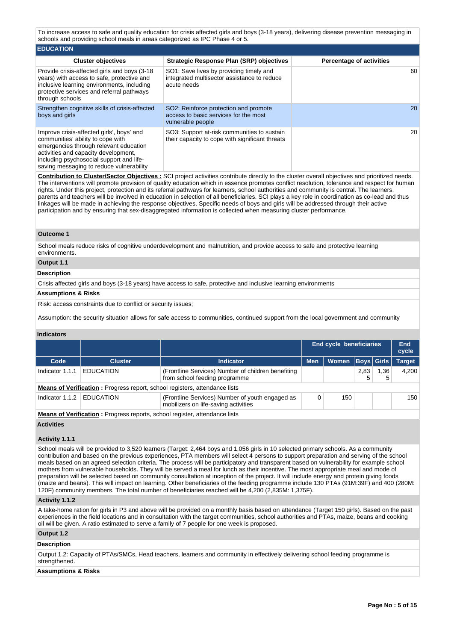To increase access to safe and quality education for crisis affected girls and boys (3-18 years), delivering disease prevention messaging in schools and providing school meals in areas categorized as IPC Phase 4 or 5.

| <b>EDUCATION</b>                                                                                                                                                                                                                                         |                                                                                                       |                                 |
|----------------------------------------------------------------------------------------------------------------------------------------------------------------------------------------------------------------------------------------------------------|-------------------------------------------------------------------------------------------------------|---------------------------------|
| <b>Cluster objectives</b>                                                                                                                                                                                                                                | <b>Strategic Response Plan (SRP) objectives</b>                                                       | <b>Percentage of activities</b> |
| Provide crisis-affected girls and boys (3-18)<br>years) with access to safe, protective and<br>inclusive learning environments, including<br>protective services and referral pathways<br>through schools                                                | SO1: Save lives by providing timely and<br>integrated multisector assistance to reduce<br>acute needs | 60                              |
| Strengthen cognitive skills of crisis-affected<br>boys and girls                                                                                                                                                                                         | SO2: Reinforce protection and promote<br>access to basic services for the most<br>vulnerable people   | 20                              |
| Improve crisis-affected girls', boys' and<br>communities' ability to cope with<br>emergencies through relevant education<br>activities and capacity development,<br>including psychosocial support and life-<br>saving messaging to reduce vulnerability | SO3: Support at-risk communities to sustain<br>their capacity to cope with significant threats        | 20                              |

**Contribution to Cluster/Sector Objectives :** SCI project activities contribute directly to the cluster overall objectives and prioritized needs. The interventions will promote provision of quality education which in essence promotes conflict resolution, tolerance and respect for human rights. Under this project, protection and its referral pathways for learners, school authorities and community is central. The learners, parents and teachers will be involved in education in selection of all beneficiaries. SCI plays a key role in coordination as co-lead and thus linkages will be made in achieving the response objectives. Specific needs of boys and girls will be addressed through their active participation and by ensuring that sex-disaggregated information is collected when measuring cluster performance.

#### **Outcome 1**

School meals reduce risks of cognitive underdevelopment and malnutrition, and provide access to safe and protective learning environments.

# **Output 1.1**

## **Description**

Crisis affected girls and boys (3-18 years) have access to safe, protective and inclusive learning environments

# **Assumptions & Risks**

Risk: access constraints due to conflict or security issues;

Assumption: the security situation allows for safe access to communities, continued support from the local government and community

## **Indicators**

|                 |                                                                                   |                                                                                         | <b>End cycle beneficiaries</b> |       |      |                   | End<br>cycle  |
|-----------------|-----------------------------------------------------------------------------------|-----------------------------------------------------------------------------------------|--------------------------------|-------|------|-------------------|---------------|
| Code            | <b>Cluster</b>                                                                    | <b>Indicator</b>                                                                        | <b>Men</b>                     | Women |      | <b>Boys Girls</b> | <b>Target</b> |
| Indicator 1.1.1 | <b>EDUCATION</b>                                                                  | (Frontline Services) Number of children benefiting<br>from school feeding programme     |                                |       | 2,83 | 1,36              | 4,200         |
|                 | <b>Means of Verification:</b> Progress report, school registers, attendance lists |                                                                                         |                                |       |      |                   |               |
| Indicator 1.1.2 | <b>EDUCATION</b>                                                                  | (Frontline Services) Number of youth engaged as<br>mobilizers on life-saving activities | 150                            |       |      | 150               |               |

**Means of Verification :** Progress reports, school register, attendance lists

## **Activities**

## **Activity 1.1.1**

School meals will be provided to 3,520 learners (Target: 2,464 boys and 1,056 girls in 10 selected primary schools. As a community contribution and based on the previous experiences, PTA members will select 4 persons to support preparation and serving of the school meals based on an agreed selection criteria. The process will be participatory and transparent based on vulnerability for example school mothers from vulnerable households. They will be served a meal for lunch as their incentive. The most appropriate meal and mode of preparation will be selected based on community consultation at inception of the project. It will include energy and protein giving foods (maize and beans). This will impact on learning. Other beneficiaries of the feeding programme include 130 PTAs (91M:39F) and 400 (280M: 120F) community members. The total number of beneficiaries reached will be 4,200 (2,835M: 1,375F).

## **Activity 1.1.2**

A take-home ration for girls in P3 and above will be provided on a monthly basis based on attendance (Target 150 girls). Based on the past experiences in the field locations and in consultation with the target communities, school authorities and PTAs, maize, beans and cooking oil will be given. A ratio estimated to serve a family of 7 people for one week is proposed.

#### **Output 1.2**

## **Description**

Output 1.2: Capacity of PTAs/SMCs, Head teachers, learners and community in effectively delivering school feeding programme is strengthened.

#### **Assumptions & Risks**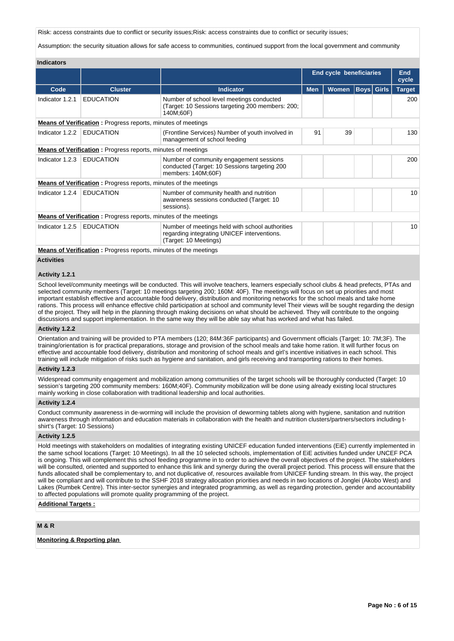Risk: access constraints due to conflict or security issues;Risk: access constraints due to conflict or security issues;

Assumption: the security situation allows for safe access to communities, continued support from the local government and community

| <b>Indicators</b> |                                                                         |                                                                                                                         |                                |              |                     |                   |                 |
|-------------------|-------------------------------------------------------------------------|-------------------------------------------------------------------------------------------------------------------------|--------------------------------|--------------|---------------------|-------------------|-----------------|
|                   |                                                                         |                                                                                                                         | <b>End cycle beneficiaries</b> |              | <b>End</b><br>cycle |                   |                 |
| Code              | <b>Cluster</b>                                                          | <b>Indicator</b>                                                                                                        | <b>Men</b>                     | <b>Women</b> |                     | <b>Boys Girls</b> | <b>Target</b>   |
| Indicator 1.2.1   | <b>EDUCATION</b>                                                        | Number of school level meetings conducted<br>(Target: 10 Sessions targeting 200 members: 200;<br>140M;60F)              |                                |              |                     |                   | 200             |
|                   | <b>Means of Verification</b> : Progress reports, minutes of meetings    |                                                                                                                         |                                |              |                     |                   |                 |
| Indicator 1.2.2   | <b>EDUCATION</b>                                                        | 91<br>39<br>(Frontline Services) Number of youth involved in<br>management of school feeding                            |                                |              |                     |                   | 130             |
|                   | <b>Means of Verification</b> : Progress reports, minutes of meetings    |                                                                                                                         |                                |              |                     |                   |                 |
| Indicator 1.2.3   | <b>EDUCATION</b>                                                        | Number of community engagement sessions<br>conducted (Target: 10 Sessions targeting 200<br>members: 140M;60F)           |                                |              |                     |                   | 200             |
|                   | <b>Means of Verification:</b> Progress reports, minutes of the meetings |                                                                                                                         |                                |              |                     |                   |                 |
| Indicator 1.2.4   | <b>EDUCATION</b>                                                        | Number of community health and nutrition<br>awareness sessions conducted (Target: 10)<br>sessions).                     |                                |              |                     |                   | 10              |
|                   | <b>Means of Verification:</b> Progress reports, minutes of the meetings |                                                                                                                         |                                |              |                     |                   |                 |
| Indicator 1.2.5   | <b>EDUCATION</b>                                                        | Number of meetings held with school authorities<br>regarding integrating UNICEF interventions.<br>(Target: 10 Meetings) |                                |              |                     |                   | 10 <sup>°</sup> |
|                   | Means of Verification : Dragress reports, minutes of the meetings       |                                                                                                                         |                                |              |                     |                   |                 |

**Means of Verification :** Progress reports, minutes of the meetings

# **Activities**

## **Activity 1.2.1**

School level/community meetings will be conducted. This will involve teachers, learners especially school clubs & head prefects, PTAs and selected community members (Target: 10 meetings targeting 200; 160M: 40F). The meetings will focus on set up priorities and most important establish effective and accountable food delivery, distribution and monitoring networks for the school meals and take home rations. This process will enhance effective child participation at school and community level Their views will be sought regarding the design of the project. They will help in the planning through making decisions on what should be achieved. They will contribute to the ongoing discussions and support implementation. In the same way they will be able say what has worked and what has failed.

## **Activity 1.2.2**

Orientation and training will be provided to PTA members (120; 84M:36F participants) and Government officials (Target: 10: 7M;3F). The training/orientation is for practical preparations, storage and provision of the school meals and take home ration. It will further focus on effective and accountable food delivery, distribution and monitoring of school meals and girl's incentive initiatives in each school. This training will include mitigation of risks such as hygiene and sanitation, and girls receiving and transporting rations to their homes.

# **Activity 1.2.3**

Widespread community engagement and mobilization among communities of the target schools will be thoroughly conducted (Target: 10 session's targeting 200 community members: 160M;40F). Community mobilization will be done using already existing local structures mainly working in close collaboration with traditional leadership and local authorities.

## **Activity 1.2.4**

Conduct community awareness in de-worming will include the provision of deworming tablets along with hygiene, sanitation and nutrition awareness through information and education materials in collaboration with the health and nutrition clusters/partners/sectors including tshirt's (Target: 10 Sessions)

#### **Activity 1.2.5**

Hold meetings with stakeholders on modalities of integrating existing UNICEF education funded interventions (EiE) currently implemented in the same school locations (Target: 10 Meetings). In all the 10 selected schools, implementation of EiE activities funded under UNCEF PCA is ongoing. This will complement this school feeding programme in to order to achieve the overall objectives of the project. The stakeholders will be consulted, oriented and supported to enhance this link and synergy during the overall project period. This process will ensure that the funds allocated shall be complementary to, and not duplicative of, resources available from UNICEF funding stream. In this way, the project will be compliant and will contribute to the SSHF 2018 strategy allocation priorities and needs in two locations of Jonglei (Akobo West) and Lakes (Rumbek Centre). This inter-sector synergies and integrated programming, as well as regarding protection, gender and accountability to affected populations will promote quality programming of the project.

## **Additional Targets :**

# **M & R**

# **Monitoring & Reporting plan**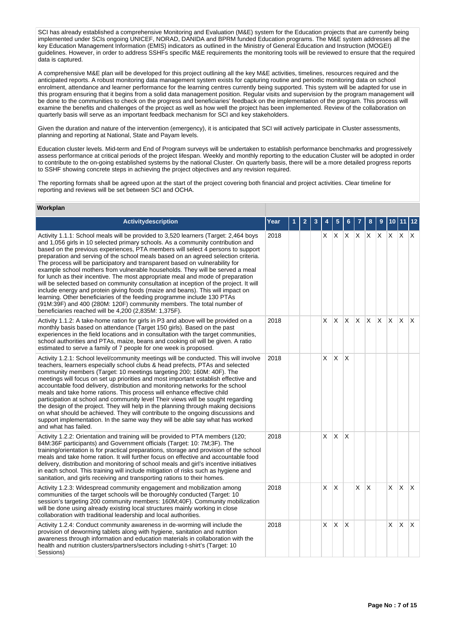SCI has already established a comprehensive Monitoring and Evaluation (M&E) system for the Education projects that are currently being implemented under SCIs ongoing UNICEF, NORAD, DANIDA and BPRM funded Education programs. The M&E system addresses all the key Education Management Information (EMIS) indicators as outlined in the Ministry of General Education and Instruction (MOGEI) guidelines. However, in order to address SSHFs specific M&E requirements the monitoring tools will be reviewed to ensure that the required data is captured.

A comprehensive M&E plan will be developed for this project outlining all the key M&E activities, timelines, resources required and the anticipated reports. A robust monitoring data management system exists for capturing routine and periodic monitoring data on school enrolment, attendance and learner performance for the learning centres currently being supported. This system will be adapted for use in this program ensuring that it begins from a solid data management position. Regular visits and supervision by the program management will be done to the communities to check on the progress and beneficiaries' feedback on the implementation of the program. This process will examine the benefits and challenges of the project as well as how well the project has been implemented. Review of the collaboration on quarterly basis will serve as an important feedback mechanism for SCI and key stakeholders.

Given the duration and nature of the intervention (emergency), it is anticipated that SCI will actively participate in Cluster assessments, planning and reporting at National, State and Payam levels.

Education cluster levels. Mid-term and End of Program surveys will be undertaken to establish performance benchmarks and progressively assess performance at critical periods of the project lifespan. Weekly and monthly reporting to the education Cluster will be adopted in order to contribute to the on-going established systems by the national Cluster. On quarterly basis, there will be a more detailed progress reports to SSHF showing concrete steps in achieving the project objectives and any revision required.

The reporting formats shall be agreed upon at the start of the project covering both financial and project activities. Clear timeline for reporting and reviews will be set between SCI and OCHA.

# **Workplan**

| Activitydescription                                                                                                                                                                                                                                                                                                                                                                                                                                                                                                                                                                                                                                                                                                                                                                                                                                                                                                                                                                         | Year | $\mathbf{2}$ | З |   | 5            |    |                 | 8            | 9            | 10       | 11       |                         |
|---------------------------------------------------------------------------------------------------------------------------------------------------------------------------------------------------------------------------------------------------------------------------------------------------------------------------------------------------------------------------------------------------------------------------------------------------------------------------------------------------------------------------------------------------------------------------------------------------------------------------------------------------------------------------------------------------------------------------------------------------------------------------------------------------------------------------------------------------------------------------------------------------------------------------------------------------------------------------------------------|------|--------------|---|---|--------------|----|-----------------|--------------|--------------|----------|----------|-------------------------|
| Activity 1.1.1: School meals will be provided to 3,520 learners (Target: 2,464 boys<br>and 1,056 girls in 10 selected primary schools. As a community contribution and<br>based on the previous experiences, PTA members will select 4 persons to support<br>preparation and serving of the school meals based on an agreed selection criteria.<br>The process will be participatory and transparent based on vulnerability for<br>example school mothers from vulnerable households. They will be served a meal<br>for lunch as their incentive. The most appropriate meal and mode of preparation<br>will be selected based on community consultation at inception of the project. It will<br>include energy and protein giving foods (maize and beans). This will impact on<br>learning. Other beneficiaries of the feeding programme include 130 PTAs<br>(91M:39F) and 400 (280M: 120F) community members. The total number of<br>beneficiaries reached will be 4,200 (2,835M: 1,375F). | 2018 |              |   | X | ΙX.          | X. | $X$ $X$ $X$ $X$ |              |              |          | ΙX.      | $\mathsf{X}$            |
| Activity 1.1.2: A take-home ration for girls in P3 and above will be provided on a<br>monthly basis based on attendance (Target 150 girls). Based on the past<br>experiences in the field locations and in consultation with the target communities,<br>school authorities and PTAs, maize, beans and cooking oil will be given. A ratio<br>estimated to serve a family of 7 people for one week is proposed.                                                                                                                                                                                                                                                                                                                                                                                                                                                                                                                                                                               | 2018 |              |   | X | IX.          | X. | ΙX.             | $\mathsf{X}$ | $\mathsf{X}$ | <b>X</b> | ΙX.      | $\mathsf{I} \mathsf{X}$ |
| Activity 1.2.1: School level/community meetings will be conducted. This will involve<br>teachers, learners especially school clubs & head prefects, PTAs and selected<br>community members (Target: 10 meetings targeting 200; 160M: 40F). The<br>meetings will focus on set up priorities and most important establish effective and<br>accountable food delivery, distribution and monitoring networks for the school<br>meals and take home rations. This process will enhance effective child<br>participation at school and community level Their views will be sought regarding<br>the design of the project. They will help in the planning through making decisions<br>on what should be achieved. They will contribute to the ongoing discussions and<br>support implementation. In the same way they will be able say what has worked<br>and what has failed.                                                                                                                     | 2018 |              |   | X | ΙX.          | X  |                 |              |              |          |          |                         |
| Activity 1.2.2: Orientation and training will be provided to PTA members (120;<br>84M:36F participants) and Government officials (Target: 10: 7M;3F). The<br>training/orientation is for practical preparations, storage and provision of the school<br>meals and take home ration. It will further focus on effective and accountable food<br>delivery, distribution and monitoring of school meals and girl's incentive initiatives<br>in each school. This training will include mitigation of risks such as hygiene and<br>sanitation, and girls receiving and transporting rations to their homes.                                                                                                                                                                                                                                                                                                                                                                                     | 2018 |              |   | X | X            | X  |                 |              |              |          |          |                         |
| Activity 1.2.3: Widespread community engagement and mobilization among<br>communities of the target schools will be thoroughly conducted (Target: 10<br>session's targeting 200 community members: 160M;40F). Community mobilization<br>will be done using already existing local structures mainly working in close<br>collaboration with traditional leadership and local authorities.                                                                                                                                                                                                                                                                                                                                                                                                                                                                                                                                                                                                    | 2018 |              |   | X | $\mathsf{X}$ |    | X.              | X            |              | X        | <b>X</b> | $\mathsf{I} \mathsf{X}$ |
| Activity 1.2.4: Conduct community awareness in de-worming will include the<br>provision of deworming tablets along with hygiene, sanitation and nutrition<br>awareness through information and education materials in collaboration with the<br>health and nutrition clusters/partners/sectors including t-shirt's (Target: 10<br>Sessions)                                                                                                                                                                                                                                                                                                                                                                                                                                                                                                                                                                                                                                                 | 2018 |              |   | X | ΙX.          | X  |                 |              |              | X        | <b>X</b> | $\mathsf{X}$            |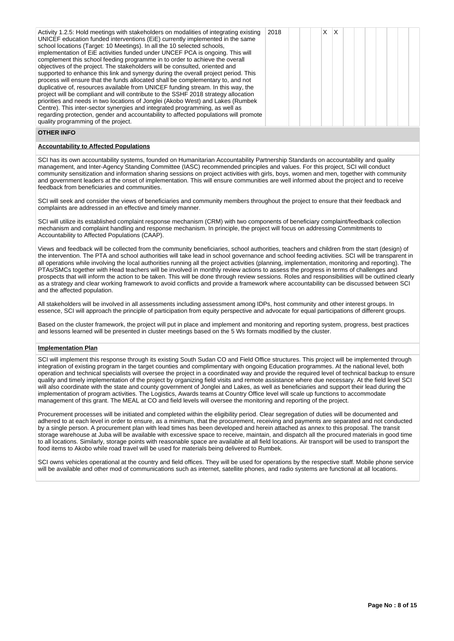| Activity 1.2.5: Hold meetings with stakeholders on modalities of integrating existing<br>UNICEF education funded interventions (EiE) currently implemented in the same<br>school locations (Target: 10 Meetings). In all the 10 selected schools,<br>implementation of EiE activities funded under UNCEF PCA is ongoing. This will<br>complement this school feeding programme in to order to achieve the overall<br>objectives of the project. The stakeholders will be consulted, oriented and<br>supported to enhance this link and synergy during the overall project period. This<br>process will ensure that the funds allocated shall be complementary to, and not<br>duplicative of, resources available from UNICEF funding stream. In this way, the<br>project will be compliant and will contribute to the SSHF 2018 strategy allocation<br>priorities and needs in two locations of Jonglei (Akobo West) and Lakes (Rumbek<br>Centre). This inter-sector synergies and integrated programming, as well as<br>regarding protection, gender and accountability to affected populations will promote<br>quality programming of the project. | 2018 |  |  | X | X |  |  |  |  |  |  |
|------------------------------------------------------------------------------------------------------------------------------------------------------------------------------------------------------------------------------------------------------------------------------------------------------------------------------------------------------------------------------------------------------------------------------------------------------------------------------------------------------------------------------------------------------------------------------------------------------------------------------------------------------------------------------------------------------------------------------------------------------------------------------------------------------------------------------------------------------------------------------------------------------------------------------------------------------------------------------------------------------------------------------------------------------------------------------------------------------------------------------------------------------|------|--|--|---|---|--|--|--|--|--|--|
|------------------------------------------------------------------------------------------------------------------------------------------------------------------------------------------------------------------------------------------------------------------------------------------------------------------------------------------------------------------------------------------------------------------------------------------------------------------------------------------------------------------------------------------------------------------------------------------------------------------------------------------------------------------------------------------------------------------------------------------------------------------------------------------------------------------------------------------------------------------------------------------------------------------------------------------------------------------------------------------------------------------------------------------------------------------------------------------------------------------------------------------------------|------|--|--|---|---|--|--|--|--|--|--|

# **OTHER INFO**

# **Accountability to Affected Populations**

SCI has its own accountability systems, founded on Humanitarian Accountability Partnership Standards on accountability and quality management, and Inter-Agency Standing Committee (IASC) recommended principles and values. For this project, SCI will conduct community sensitization and information sharing sessions on project activities with girls, boys, women and men, together with community and government leaders at the onset of implementation. This will ensure communities are well informed about the project and to receive feedback from beneficiaries and communities.

SCI will seek and consider the views of beneficiaries and community members throughout the project to ensure that their feedback and complaints are addressed in an effective and timely manner.

SCI will utilize its established complaint response mechanism (CRM) with two components of beneficiary complaint/feedback collection mechanism and complaint handling and response mechanism. In principle, the project will focus on addressing Commitments to Accountability to Affected Populations (CAAP).

Views and feedback will be collected from the community beneficiaries, school authorities, teachers and children from the start (design) of the intervention. The PTA and school authorities will take lead in school governance and school feeding activities. SCI will be transparent in all operations while involving the local authorities running all the project activities (planning, implementation, monitoring and reporting). The PTAs/SMCs together with Head teachers will be involved in monthly review actions to assess the progress in terms of challenges and prospects that will inform the action to be taken. This will be done through review sessions. Roles and responsibilities will be outlined clearly as a strategy and clear working framework to avoid conflicts and provide a framework where accountability can be discussed between SCI and the affected population.

All stakeholders will be involved in all assessments including assessment among IDPs, host community and other interest groups. In essence, SCI will approach the principle of participation from equity perspective and advocate for equal participations of different groups.

Based on the cluster framework, the project will put in place and implement and monitoring and reporting system, progress, best practices and lessons learned will be presented in cluster meetings based on the 5 Ws formats modified by the cluster.

# **Implementation Plan**

SCI will implement this response through its existing South Sudan CO and Field Office structures. This project will be implemented through integration of existing program in the target counties and complimentary with ongoing Education programmes. At the national level, both operation and technical specialists will oversee the project in a coordinated way and provide the required level of technical backup to ensure quality and timely implementation of the project by organizing field visits and remote assistance where due necessary. At the field level SCI will also coordinate with the state and county government of Jonglei and Lakes, as well as beneficiaries and support their lead during the implementation of program activities. The Logistics, Awards teams at Country Office level will scale up functions to accommodate management of this grant. The MEAL at CO and field levels will oversee the monitoring and reporting of the project.

Procurement processes will be initiated and completed within the eligibility period. Clear segregation of duties will be documented and adhered to at each level in order to ensure, as a minimum, that the procurement, receiving and payments are separated and not conducted by a single person. A procurement plan with lead times has been developed and herein attached as annex to this proposal. The transit storage warehouse at Juba will be available with excessive space to receive, maintain, and dispatch all the procured materials in good time to all locations. Similarly, storage points with reasonable space are available at all field locations. Air transport will be used to transport the food items to Akobo while road travel will be used for materials being delivered to Rumbek.

SCI owns vehicles operational at the country and field offices. They will be used for operations by the respective staff. Mobile phone service will be available and other mod of communications such as internet, satellite phones, and radio systems are functional at all locations.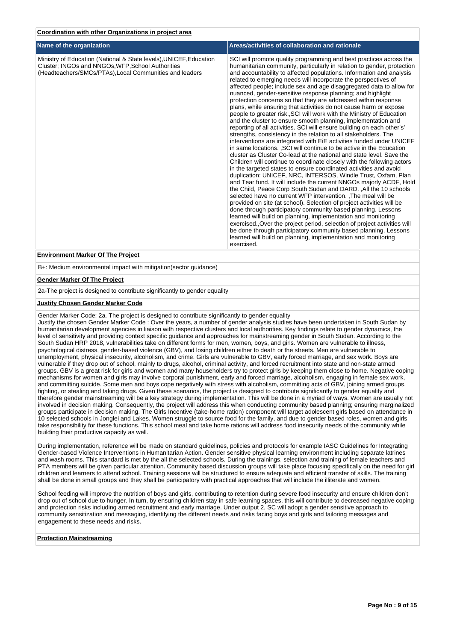| Coordination with other Organizations in proiect area |  |  |  |  |  |
|-------------------------------------------------------|--|--|--|--|--|
|                                                       |  |  |  |  |  |

| Name of the organization                                                                                                                                                           | Areas/activities of collaboration and rationale                                                                                                                                                                                                                                                                                                                                                                                                                                                                                                                                                                                                                                                                                                                                                                                                                                                                                                                                                                                                                                                                                                                                                                                                                                                                                                                                                                                                                                                                                                                                                                                                                                                                                                                                                                                                                                                                                                     |
|------------------------------------------------------------------------------------------------------------------------------------------------------------------------------------|-----------------------------------------------------------------------------------------------------------------------------------------------------------------------------------------------------------------------------------------------------------------------------------------------------------------------------------------------------------------------------------------------------------------------------------------------------------------------------------------------------------------------------------------------------------------------------------------------------------------------------------------------------------------------------------------------------------------------------------------------------------------------------------------------------------------------------------------------------------------------------------------------------------------------------------------------------------------------------------------------------------------------------------------------------------------------------------------------------------------------------------------------------------------------------------------------------------------------------------------------------------------------------------------------------------------------------------------------------------------------------------------------------------------------------------------------------------------------------------------------------------------------------------------------------------------------------------------------------------------------------------------------------------------------------------------------------------------------------------------------------------------------------------------------------------------------------------------------------------------------------------------------------------------------------------------------------|
| Ministry of Education (National & State levels), UNICEF, Education<br>Cluster; INGOs and NNGOs, WFP, School Authorities<br>(Headteachers/SMCs/PTAs), Local Communities and leaders | SCI will promote quality programming and best practices across the<br>humanitarian community, particularly in relation to gender, protection<br>and accountability to affected populations. Information and analysis<br>related to emerging needs will incorporate the perspectives of<br>affected people; include sex and age disaggregated data to allow for<br>nuanced, gender-sensitive response planning; and highlight<br>protection concerns so that they are addressed within response<br>plans, while ensuring that activities do not cause harm or expose<br>people to greater risk., SCI will work with the Ministry of Education<br>and the cluster to ensure smooth planning, implementation and<br>reporting of all activities. SCI will ensure building on each other's'<br>strengths, consistency in the relation to all stakeholders. The<br>interventions are integrated with EiE activities funded under UNICEF<br>in same locations. , SCI will continue to be active in the Education<br>cluster as Cluster Co-lead at the national and state level. Save the<br>Children will continue to coordinate closely with the following actors<br>in the targeted states to ensure coordinated activities and avoid<br>duplication: UNICEF, NRC, INTERSOS, Windle Trust, Oxfam, Plan<br>and Tear fund. It will include the current NNGOs majorly ACDF, Hold<br>the Child, Peace Corp South Sudan and DARD., All the 10 schools<br>selected have no current WFP intervention. The meal will be<br>provided on site (at school). Selection of project activities will be<br>done through participatory community based planning. Lessons<br>learned will build on planning, implementation and monitoring<br>exercised. Over the project period, selection of project activities will<br>be done through participatory community based planning. Lessons<br>learned will build on planning, implementation and monitoring<br>exercised. |
| <b>Environment Marker Of The Project</b>                                                                                                                                           |                                                                                                                                                                                                                                                                                                                                                                                                                                                                                                                                                                                                                                                                                                                                                                                                                                                                                                                                                                                                                                                                                                                                                                                                                                                                                                                                                                                                                                                                                                                                                                                                                                                                                                                                                                                                                                                                                                                                                     |

B+: Medium environmental impact with mitigation(sector guidance)

#### **Gender Marker Of The Project**

2a-The project is designed to contribute significantly to gender equality

# **Justify Chosen Gender Marker Code**

Gender Marker Code: 2a. The project is designed to contribute significantly to gender equality

Justify the chosen Gender Marker Code : Over the years, a number of gender analysis studies have been undertaken in South Sudan by humanitarian development agencies in liaison with respective clusters and local authorities. Key findings relate to gender dynamics, the level of sensitivity and providing context specific guidance and approaches for mainstreaming gender in South Sudan. According to the South Sudan HRP 2018, vulnerabilities take on different forms for men, women, boys, and girls. Women are vulnerable to illness, psychological distress, gender-based violence (GBV), and losing children either to death or the streets. Men are vulnerable to unemployment, physical insecurity, alcoholism, and crime. Girls are vulnerable to GBV, early forced marriage, and sex work. Boys are vulnerable if they drop out of school, mainly to drugs, alcohol, criminal activity, and forced recruitment into state and non-state armed groups. GBV is a great risk for girls and women and many householders try to protect girls by keeping them close to home. Negative coping mechanisms for women and girls may involve corporal punishment, early and forced marriage, alcoholism, engaging in female sex work, and committing suicide. Some men and boys cope negatively with stress with alcoholism, committing acts of GBV, joining armed groups, fighting, or stealing and taking drugs. Given these scenarios, the project is designed to contribute significantly to gender equality and therefore gender mainstreaming will be a key strategy during implementation. This will be done in a myriad of ways. Women are usually not involved in decision making. Consequently, the project will address this when conducting community based planning; ensuring marginalized groups participate in decision making. The Girls Incentive (take-home ration) component will target adolescent girls based on attendance in 10 selected schools in Jonglei and Lakes. Women struggle to source food for the family, and due to gender based roles, women and girls take responsibility for these functions. This school meal and take home rations will address food insecurity needs of the community while building their productive capacity as well.

During implementation, reference will be made on standard guidelines, policies and protocols for example IASC Guidelines for Integrating Gender-based Violence Interventions in Humanitarian Action. Gender sensitive physical learning environment including separate latrines and wash rooms. This standard is met by the all the selected schools. During the trainings, selection and training of female teachers and PTA members will be given particular attention. Community based discussion groups will take place focusing specifically on the need for girl children and learners to attend school. Training sessions will be structured to ensure adequate and efficient transfer of skills. The training shall be done in small groups and they shall be participatory with practical approaches that will include the illiterate and women.

School feeding will improve the nutrition of boys and girls, contributing to retention during severe food insecurity and ensure children don't drop out of school due to hunger. In turn, by ensuring children stay in safe learning spaces, this will contribute to decreased negative coping and protection risks including armed recruitment and early marriage. Under output 2, SC will adopt a gender sensitive approach to community sensitization and messaging, identifying the different needs and risks facing boys and girls and tailoring messages and engagement to these needs and risks.

# **Protection Mainstreaming**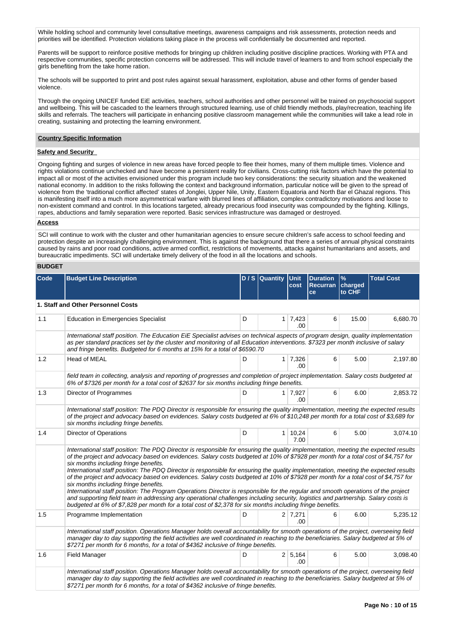While holding school and community level consultative meetings, awareness campaigns and risk assessments, protection needs and priorities will be identified. Protection violations taking place in the process will confidentially be documented and reported.

Parents will be support to reinforce positive methods for bringing up children including positive discipline practices. Working with PTA and respective communities, specific protection concerns will be addressed. This will include travel of learners to and from school especially the girls benefiting from the take home ration.

The schools will be supported to print and post rules against sexual harassment, exploitation, abuse and other forms of gender based violence.

Through the ongoing UNICEF funded EiE activities, teachers, school authorities and other personnel will be trained on psychosocial support and wellbeing. This will be cascaded to the learners through structured learning, use of child friendly methods, play/recreation, teaching life skills and referrals. The teachers will participate in enhancing positive classroom management while the communities will take a lead role in creating, sustaining and protecting the learning environment.

#### **Country Specific Information**

## **Safety and Security**

Ongoing fighting and surges of violence in new areas have forced people to flee their homes, many of them multiple times. Violence and rights violations continue unchecked and have become a persistent reality for civilians. Cross-cutting risk factors which have the potential to impact all or most of the activities envisioned under this program include two key considerations: the security situation and the weakened national economy. In addition to the risks following the context and background information, particular notice will be given to the spread of violence from the 'traditional conflict affected' states of Jonglei, Upper Nile, Unity, Eastern Equatoria and North Bar el Ghazal regions. This is manifesting itself into a much more asymmetrical warfare with blurred lines of affiliation, complex contradictory motivations and loose to non-existent command and control. In this locations targeted, already precarious food insecurity was compounded by the fighting. Killings, rapes, abductions and family separation were reported. Basic services infrastructure was damaged or destroyed.

# **Access**

SCI will continue to work with the cluster and other humanitarian agencies to ensure secure children's safe access to school feeding and protection despite an increasingly challenging environment. This is against the background that there a series of annual physical constraints caused by rains and poor road conditions, active armed conflict, restrictions of movements, attacks against humanitarians and assets, and bureaucratic impediments. SCI will undertake timely delivery of the food in all the locations and schools.

# **BUDGET**

| Code | <b>Budget Line Description</b>                                                                                                                                                                                                                                                                                                                                                                                                                                                                                                                                                                                                                                                                                                                                                                                                                                                                                                                                                                                              |   | $D / S$ Quantity | <b>Unit</b><br>cost    | <b>Duration</b><br>Recurran<br>ce | $\frac{9}{6}$<br>charged<br>to CHF | <b>Total Cost</b> |
|------|-----------------------------------------------------------------------------------------------------------------------------------------------------------------------------------------------------------------------------------------------------------------------------------------------------------------------------------------------------------------------------------------------------------------------------------------------------------------------------------------------------------------------------------------------------------------------------------------------------------------------------------------------------------------------------------------------------------------------------------------------------------------------------------------------------------------------------------------------------------------------------------------------------------------------------------------------------------------------------------------------------------------------------|---|------------------|------------------------|-----------------------------------|------------------------------------|-------------------|
|      | 1. Staff and Other Personnel Costs                                                                                                                                                                                                                                                                                                                                                                                                                                                                                                                                                                                                                                                                                                                                                                                                                                                                                                                                                                                          |   |                  |                        |                                   |                                    |                   |
| 1.1  | <b>Education in Emergencies Specialist</b>                                                                                                                                                                                                                                                                                                                                                                                                                                                                                                                                                                                                                                                                                                                                                                                                                                                                                                                                                                                  | D |                  | $1 \mid 7,423$<br>.00. | 6                                 | 15.00                              | 6,680.70          |
|      | International staff position. The Education EiE Specialist advises on technical aspects of program design, quality implementation<br>as per standard practices set by the cluster and monitoring of all Education interventions. \$7323 per month inclusive of salary<br>and fringe benefits. Budgeted for 6 months at 15% for a total of \$6590.70                                                                                                                                                                                                                                                                                                                                                                                                                                                                                                                                                                                                                                                                         |   |                  |                        |                                   |                                    |                   |
| 1.2  | <b>Head of MEAL</b>                                                                                                                                                                                                                                                                                                                                                                                                                                                                                                                                                                                                                                                                                                                                                                                                                                                                                                                                                                                                         | D |                  | 1 7,326<br>.00.        | 6                                 | 5.00                               | 2,197.80          |
|      | field team in collecting, analysis and reporting of progresses and completion of project implementation. Salary costs budgeted at<br>6% of \$7326 per month for a total cost of \$2637 for six months including fringe benefits.                                                                                                                                                                                                                                                                                                                                                                                                                                                                                                                                                                                                                                                                                                                                                                                            |   |                  |                        |                                   |                                    |                   |
| 1.3  | Director of Programmes                                                                                                                                                                                                                                                                                                                                                                                                                                                                                                                                                                                                                                                                                                                                                                                                                                                                                                                                                                                                      | D |                  | $1 \mid 7,927$<br>.00. | 6                                 | 6.00                               | 2,853.72          |
|      | International staff position: The PDQ Director is responsible for ensuring the quality implementation, meeting the expected results<br>of the project and advocacy based on evidences. Salary costs budgeted at 6% of \$10,248 per month for a total cost of \$3,689 for<br>six months including fringe benefits.                                                                                                                                                                                                                                                                                                                                                                                                                                                                                                                                                                                                                                                                                                           |   |                  |                        |                                   |                                    |                   |
| 1.4  | Director of Operations                                                                                                                                                                                                                                                                                                                                                                                                                                                                                                                                                                                                                                                                                                                                                                                                                                                                                                                                                                                                      | D | 1 <sup>1</sup>   | 10,24<br>7.00          | 6                                 | 5.00                               | 3,074.10          |
|      | International staff position: The PDQ Director is responsible for ensuring the quality implementation, meeting the expected results<br>of the project and advocacy based on evidences. Salary costs budgeted at 10% of \$7928 per month for a total cost of \$4,757 for<br>six months including fringe benefits.<br>International staff position: The PDQ Director is responsible for ensuring the quality implementation, meeting the expected results<br>of the project and advocacy based on evidences. Salary costs budgeted at 10% of \$7928 per month for a total cost of \$4,757 for<br>six months including fringe benefits.<br>International staff position: The Program Operations Director is responsible for the regular and smooth operations of the project<br>and supporting field team in addressing any operational challenges including security, logistics and partnership. Salary costs is<br>budgeted at 6% of \$7,828 per month for a total cost of \$2,378 for six months including fringe benefits. |   |                  |                        |                                   |                                    |                   |
| 1.5  | Programme Implementation                                                                                                                                                                                                                                                                                                                                                                                                                                                                                                                                                                                                                                                                                                                                                                                                                                                                                                                                                                                                    | D |                  | 2 7.271<br>.00         | 6                                 | 6.00                               | 5,235.12          |
|      | International staff position. Operations Manager holds overall accountability for smooth operations of the project, overseeing field<br>manager day to day supporting the field activities are well coordinated in reaching to the beneficiaries. Salary budgeted at 5% of<br>\$7271 per month for 6 months, for a total of \$4362 inclusive of fringe benefits.                                                                                                                                                                                                                                                                                                                                                                                                                                                                                                                                                                                                                                                            |   |                  |                        |                                   |                                    |                   |
| 1.6  | <b>Field Manager</b>                                                                                                                                                                                                                                                                                                                                                                                                                                                                                                                                                                                                                                                                                                                                                                                                                                                                                                                                                                                                        | D |                  | 2 5,164<br>.00.        | 6                                 | 5.00                               | 3,098.40          |
|      | International staff position. Operations Manager holds overall accountability for smooth operations of the project, overseeing field<br>manager day to day supporting the field activities are well coordinated in reaching to the beneficiaries. Salary budgeted at 5% of<br>\$7271 per month for 6 months, for a total of \$4362 inclusive of fringe benefits.                                                                                                                                                                                                                                                                                                                                                                                                                                                                                                                                                                                                                                                            |   |                  |                        |                                   |                                    |                   |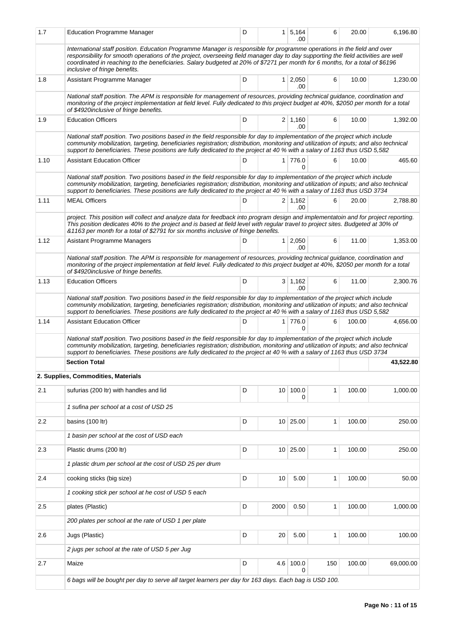| 1.7  | <b>Education Programme Manager</b>                                                                                                                                                                                                                                                                                                                                                                                            | D |                 | 1 5,164<br>.00         | 6   | 20.00  | 6,196.80  |
|------|-------------------------------------------------------------------------------------------------------------------------------------------------------------------------------------------------------------------------------------------------------------------------------------------------------------------------------------------------------------------------------------------------------------------------------|---|-----------------|------------------------|-----|--------|-----------|
|      | International staff position. Education Programme Manager is responsible for programme operations in the field and over<br>responsibility for smooth operations of the project, overseeing field manager day to day supporting the field activities are well<br>coordinated in reaching to the beneficiaries. Salary budgeted at 20% of \$7271 per month for 6 months, for a total of \$6196<br>inclusive of fringe benefits. |   |                 |                        |     |        |           |
| 1.8  | Assistant Programme Manager                                                                                                                                                                                                                                                                                                                                                                                                   | D |                 | $1 \ 2,050$<br>.00     | 6   | 10.00  | 1,230.00  |
|      | National staff position. The APM is responsible for management of resources, providing technical guidance, coordination and<br>monitoring of the project implementation at field level. Fully dedicated to this project budget at 40%, \$2050 per month for a total<br>of \$4920inclusive of fringe benefits.                                                                                                                 |   |                 |                        |     |        |           |
| 1.9  | <b>Education Officers</b>                                                                                                                                                                                                                                                                                                                                                                                                     | D |                 | $2 \mid 1,160$<br>.00. | 6   | 10.00  | 1,392.00  |
|      | National staff position. Two positions based in the field responsible for day to implementation of the project which include<br>community mobilization, targeting, beneficiaries registration; distribution, monitoring and utilization of inputs; and also technical<br>support to beneficiaries. These positions are fully dedicated to the project at 40 % with a salary of 1163 thus USD 5,582                            |   |                 |                        |     |        |           |
| 1.10 | <b>Assistant Education Officer</b>                                                                                                                                                                                                                                                                                                                                                                                            | D |                 | 1 776.0<br>0           | 6   | 10.00  | 465.60    |
|      | National staff position. Two positions based in the field responsible for day to implementation of the project which include<br>community mobilization, targeting, beneficiaries registration; distribution, monitoring and utilization of inputs; and also technical<br>support to beneficiaries. These positions are fully dedicated to the project at 40 % with a salary of 1163 thus USD 3734                             |   |                 |                        |     |        |           |
| 1.11 | <b>MEAL Officers</b>                                                                                                                                                                                                                                                                                                                                                                                                          | D |                 | $2 \mid 1,162$<br>.00  | 6   | 20.00  | 2,788.80  |
|      | project. This position will collect and analyze data for feedback into program design and implementatoin and for project reporting.<br>This position dedicates 40% to the project and is based at field level with regular travel to project sites. Budgeted at 30% of<br>&1163 per month for a total of \$2791 for six months inclusive of fringe benefits.                                                                  |   |                 |                        |     |        |           |
| 1.12 | Asistant Programme Managers                                                                                                                                                                                                                                                                                                                                                                                                   | D |                 | $1 \quad 2,050$<br>.00 | 6   | 11.00  | 1,353.00  |
|      | National staff position. The APM is responsible for management of resources, providing technical guidance, coordination and<br>monitoring of the project implementation at field level. Fully dedicated to this project budget at 40%, \$2050 per month for a total<br>of \$4920inclusive of fringe benefits.                                                                                                                 |   |                 |                        |     |        |           |
| 1.13 | <b>Education Officers</b>                                                                                                                                                                                                                                                                                                                                                                                                     | D |                 | $3 \mid 1,162$<br>.00  | 6   | 11.00  | 2,300.76  |
|      | National staff position. Two positions based in the field responsible for day to implementation of the project which include<br>community mobilization, targeting, beneficiaries registration; distribution, monitoring and utilization of inputs; and also technical<br>support to beneficiaries. These positions are fully dedicated to the project at 40 % with a salary of 1163 thus USD 5,582                            |   |                 |                        |     |        |           |
| 1.14 | <b>Assistant Education Officer</b>                                                                                                                                                                                                                                                                                                                                                                                            | D |                 | 1 776.0<br>0           | 6   | 100.00 | 4,656.00  |
|      | National staff position. Two positions based in the field responsible for day to implementation of the project which include<br>community mobilization, targeting, beneficiaries registration; distribution, monitoring and utilization of inputs; and also technical<br>support to beneficiaries. These positions are fully dedicated to the project at 40 % with a salary of 1163 thus USD 3734                             |   |                 |                        |     |        |           |
|      | <b>Section Total</b>                                                                                                                                                                                                                                                                                                                                                                                                          |   |                 |                        |     |        | 43,522.80 |
|      | 2. Supplies, Commodities, Materials                                                                                                                                                                                                                                                                                                                                                                                           |   |                 |                        |     |        |           |
| 2.1  | sufurias (200 ltr) with handles and lid                                                                                                                                                                                                                                                                                                                                                                                       | D | 10 <sup>1</sup> | 100.0<br>0             | 1   | 100.00 | 1,000.00  |
|      | 1 sufina per school at a cost of USD 25                                                                                                                                                                                                                                                                                                                                                                                       |   |                 |                        |     |        |           |
| 2.2  | basins (100 ltr)                                                                                                                                                                                                                                                                                                                                                                                                              | D |                 | 10 25.00               | 1   | 100.00 | 250.00    |
|      | 1 basin per school at the cost of USD each                                                                                                                                                                                                                                                                                                                                                                                    |   |                 |                        |     |        |           |
| 2.3  | Plastic drums (200 ltr)                                                                                                                                                                                                                                                                                                                                                                                                       | D |                 | 10 25.00               | 1   | 100.00 | 250.00    |
|      | 1 plastic drum per school at the cost of USD 25 per drum                                                                                                                                                                                                                                                                                                                                                                      |   |                 |                        |     |        |           |
| 2.4  | cooking sticks (big size)                                                                                                                                                                                                                                                                                                                                                                                                     | D | 10              | 5.00                   | 1   | 100.00 | 50.00     |
|      | 1 cooking stick per school at he cost of USD 5 each                                                                                                                                                                                                                                                                                                                                                                           |   |                 |                        |     |        |           |
| 2.5  | plates (Plastic)                                                                                                                                                                                                                                                                                                                                                                                                              | D | 2000            | 0.50                   | 1   | 100.00 | 1,000.00  |
|      | 200 plates per school at the rate of USD 1 per plate                                                                                                                                                                                                                                                                                                                                                                          |   |                 |                        |     |        |           |
| 2.6  | Jugs (Plastic)                                                                                                                                                                                                                                                                                                                                                                                                                | D | 20              | 5.00                   | 1   | 100.00 | 100.00    |
|      | 2 jugs per school at the rate of USD 5 per Jug                                                                                                                                                                                                                                                                                                                                                                                |   |                 |                        |     |        |           |
| 2.7  | Maize                                                                                                                                                                                                                                                                                                                                                                                                                         | D | 4.6             | 100.0<br>0             | 150 | 100.00 | 69,000.00 |
|      | 6 bags will be bought per day to serve all target learners per day for 163 days. Each bag is USD 100.                                                                                                                                                                                                                                                                                                                         |   |                 |                        |     |        |           |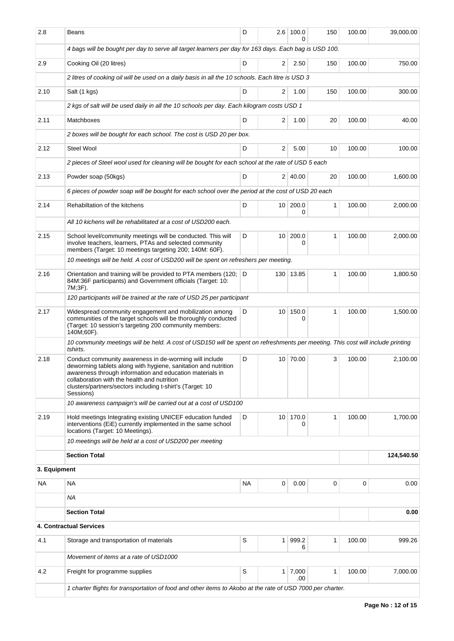| 2.8          | Beans                                                                                                                                                                                                                                                                                                          | D         |                 | $2.6$ 100.0          | 150 | 100.00 | 39,000.00  |
|--------------|----------------------------------------------------------------------------------------------------------------------------------------------------------------------------------------------------------------------------------------------------------------------------------------------------------------|-----------|-----------------|----------------------|-----|--------|------------|
|              | 4 bags will be bought per day to serve all target learners per day for 163 days. Each bag is USD 100.                                                                                                                                                                                                          |           |                 |                      |     |        |            |
| 2.9          | Cooking Oil (20 litres)                                                                                                                                                                                                                                                                                        | D         | 2               | 2.50                 | 150 | 100.00 | 750.00     |
|              | 2 litres of cooking oil will be used on a daily basis in all the 10 schools. Each litre is USD 3                                                                                                                                                                                                               |           |                 |                      |     |        |            |
| 2.10         | Salt (1 kgs)                                                                                                                                                                                                                                                                                                   | D         | 2               | 1.00                 | 150 | 100.00 | 300.00     |
|              | 2 kgs of salt will be used daily in all the 10 schools per day. Each kilogram costs USD 1                                                                                                                                                                                                                      |           |                 |                      |     |        |            |
| 2.11         | Matchboxes                                                                                                                                                                                                                                                                                                     | D         | 2               | 1.00                 | 20  | 100.00 | 40.00      |
|              | 2 boxes will be bought for each school. The cost is USD 20 per box.                                                                                                                                                                                                                                            |           |                 |                      |     |        |            |
| 2.12         | Steel Wool                                                                                                                                                                                                                                                                                                     | D         | 2               | 5.00                 | 10  | 100.00 | 100.00     |
|              | 2 pieces of Steel wool used for cleaning will be bought for each school at the rate of USD 5 each                                                                                                                                                                                                              |           |                 |                      |     |        |            |
| 2.13         | Powder soap (50kgs)                                                                                                                                                                                                                                                                                            | D         |                 | 2 40.00              | 20  | 100.00 | 1,600.00   |
|              | 6 pieces of powder soap will be bought for each school over the period at the cost of USD 20 each                                                                                                                                                                                                              |           |                 |                      |     |        |            |
| 2.14         | Rehabiltation of the kitchens                                                                                                                                                                                                                                                                                  | D         | 10 <sup>1</sup> | 200.0                | 1   | 100.00 | 2,000.00   |
|              | All 10 kichens will be rehabilitated at a cost of USD200 each.                                                                                                                                                                                                                                                 |           |                 | 0                    |     |        |            |
| 2.15         | School level/community meetings will be conducted. This will                                                                                                                                                                                                                                                   | D         | 10 <sup>1</sup> | 200.0                | 1   | 100.00 | 2,000.00   |
|              | involve teachers, learners, PTAs and selected community<br>members (Target: 10 meetings targeting 200; 140M: 60F).                                                                                                                                                                                             |           |                 | 0                    |     |        |            |
|              | 10 meetings will be held. A cost of USD200 will be spent on refreshers per meeting.                                                                                                                                                                                                                            |           |                 |                      |     |        |            |
| 2.16         | Orientation and training will be provided to PTA members (120;<br>84M:36F participants) and Government officials (Target: 10:<br>7M;3F).                                                                                                                                                                       | D         |                 | 130 13.85            | 1   | 100.00 | 1,800.50   |
|              | 120 participants will be trained at the rate of USD 25 per participant                                                                                                                                                                                                                                         |           |                 |                      |     |        |            |
| 2.17         | Widespread community engagement and mobilization among<br>communities of the target schools will be thoroughly conducted<br>(Target: 10 session's targeting 200 community members:<br>140M;60F).                                                                                                               | D         | 10 <sup>1</sup> | 150.0<br>0           | 1   | 100.00 | 1,500.00   |
|              | 10 community meetings will be held. A cost of USD150 will be spent on refreshments per meeting. This cost will include printing<br>tshirts.                                                                                                                                                                    |           |                 |                      |     |        |            |
| 2.18         | Conduct community awareness in de-worming will include<br>deworming tablets along with hygiene, sanitation and nutrition<br>awareness through information and education materials in<br>collaboration with the health and nutrition<br>clusters/partners/sectors including t-shirt's (Target: 10)<br>Sessions) | D         |                 | 10 70.00             | 3   | 100.00 | 2,100.00   |
|              | 10 awareness campaign's will be carried out at a cost of USD100                                                                                                                                                                                                                                                |           |                 |                      |     |        |            |
| 2.19         | Hold meetings Integrating existing UNICEF education funded<br>interventions (EiE) currently implemented in the same school<br>locations (Target: 10 Meetings).                                                                                                                                                 | D         | 10 <sup>1</sup> | 170.0                | 1   | 100.00 | 1,700.00   |
|              | 10 meetings will be held at a cost of USD200 per meeting                                                                                                                                                                                                                                                       |           |                 |                      |     |        |            |
|              | <b>Section Total</b>                                                                                                                                                                                                                                                                                           |           |                 |                      |     |        | 124,540.50 |
| 3. Equipment |                                                                                                                                                                                                                                                                                                                |           |                 |                      |     |        |            |
| <b>NA</b>    | <b>NA</b>                                                                                                                                                                                                                                                                                                      | <b>NA</b> | 0               | 0.00                 | 0   | 0      | 0.00       |
|              | ΝA                                                                                                                                                                                                                                                                                                             |           |                 |                      |     |        |            |
|              | <b>Section Total</b>                                                                                                                                                                                                                                                                                           |           |                 |                      |     |        | 0.00       |
|              | <b>4. Contractual Services</b>                                                                                                                                                                                                                                                                                 |           |                 |                      |     |        |            |
| 4.1          | Storage and transportation of materials                                                                                                                                                                                                                                                                        | S         | 1 <sup>1</sup>  | 999.2<br>6           | 1   | 100.00 | 999.26     |
|              | Movement of items at a rate of USD1000                                                                                                                                                                                                                                                                         |           |                 |                      |     |        |            |
| 4.2          | Freight for programme supplies                                                                                                                                                                                                                                                                                 | S         |                 | $1 \overline{7,000}$ | 1   | 100.00 | 7,000.00   |
|              | 1 charter flights for transportation of food and other items to Akobo at the rate of USD 7000 per charter.                                                                                                                                                                                                     |           |                 | .00                  |     |        |            |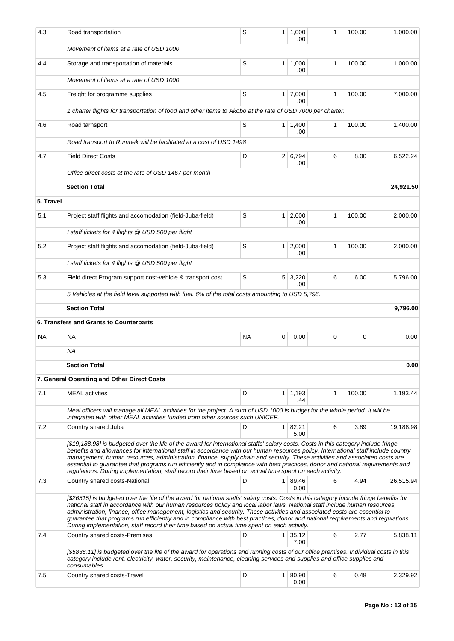| 4.3       | Road transportation                                                                                                                                                                                                                                                                                                                                                                                                                                                                                                                                                                                                                                   | S         | 1              | 1,000<br>.00                | 1            | 100.00 | 1,000.00  |
|-----------|-------------------------------------------------------------------------------------------------------------------------------------------------------------------------------------------------------------------------------------------------------------------------------------------------------------------------------------------------------------------------------------------------------------------------------------------------------------------------------------------------------------------------------------------------------------------------------------------------------------------------------------------------------|-----------|----------------|-----------------------------|--------------|--------|-----------|
|           | Movement of items at a rate of USD 1000                                                                                                                                                                                                                                                                                                                                                                                                                                                                                                                                                                                                               |           |                |                             |              |        |           |
| 4.4       | Storage and transportation of materials                                                                                                                                                                                                                                                                                                                                                                                                                                                                                                                                                                                                               | S         |                | $1 \mid 1,000$<br>.00       | 1            | 100.00 | 1,000.00  |
|           | Movement of items at a rate of USD 1000                                                                                                                                                                                                                                                                                                                                                                                                                                                                                                                                                                                                               |           |                |                             |              |        |           |
| 4.5       | Freight for programme supplies                                                                                                                                                                                                                                                                                                                                                                                                                                                                                                                                                                                                                        | S         |                | $1 \mid 7,000$<br>.00       | $\mathbf{1}$ | 100.00 | 7,000.00  |
|           | 1 charter flights for transportation of food and other items to Akobo at the rate of USD 7000 per charter.                                                                                                                                                                                                                                                                                                                                                                                                                                                                                                                                            |           |                |                             |              |        |           |
| 4.6       | Road tarnsport                                                                                                                                                                                                                                                                                                                                                                                                                                                                                                                                                                                                                                        | S         |                | $1 \mid 1,400$<br>.00       | $\mathbf{1}$ | 100.00 | 1,400.00  |
|           | Road transport to Rumbek will be facilitated at a cost of USD 1498                                                                                                                                                                                                                                                                                                                                                                                                                                                                                                                                                                                    |           |                |                             |              |        |           |
| 4.7       | <b>Field Direct Costs</b>                                                                                                                                                                                                                                                                                                                                                                                                                                                                                                                                                                                                                             | D         |                | 2 6,794<br>.00              | 6            | 8.00   | 6,522.24  |
|           | Office direct costs at the rate of USD 1467 per month                                                                                                                                                                                                                                                                                                                                                                                                                                                                                                                                                                                                 |           |                |                             |              |        |           |
|           | <b>Section Total</b>                                                                                                                                                                                                                                                                                                                                                                                                                                                                                                                                                                                                                                  |           |                |                             |              |        | 24,921.50 |
| 5. Travel |                                                                                                                                                                                                                                                                                                                                                                                                                                                                                                                                                                                                                                                       |           |                |                             |              |        |           |
| 5.1       | Project staff flights and accomodation (field-Juba-field)                                                                                                                                                                                                                                                                                                                                                                                                                                                                                                                                                                                             | S         | 1 <sup>1</sup> | 2,000<br>.00                | 1            | 100.00 | 2,000.00  |
|           | I staff tickets for 4 flights @ USD 500 per flight                                                                                                                                                                                                                                                                                                                                                                                                                                                                                                                                                                                                    |           |                |                             |              |        |           |
| 5.2       | Project staff flights and accomodation (field-Juba-field)                                                                                                                                                                                                                                                                                                                                                                                                                                                                                                                                                                                             | S         | 1 <sup>1</sup> | 2,000<br>.00                | 1            | 100.00 | 2,000.00  |
|           | I staff tickets for 4 flights @ USD 500 per flight                                                                                                                                                                                                                                                                                                                                                                                                                                                                                                                                                                                                    |           |                |                             |              |        |           |
| 5.3       | Field direct Program support cost-vehicle & transport cost                                                                                                                                                                                                                                                                                                                                                                                                                                                                                                                                                                                            | S         |                | $5 \mid 3,220$<br>.00       | 6            | 6.00   | 5,796.00  |
|           | 5 Vehicles at the field level supported with fuel. 6% of the total costs amounting to USD 5,796.                                                                                                                                                                                                                                                                                                                                                                                                                                                                                                                                                      |           |                |                             |              |        |           |
|           | <b>Section Total</b>                                                                                                                                                                                                                                                                                                                                                                                                                                                                                                                                                                                                                                  |           |                |                             |              |        | 9,796.00  |
|           | 6. Transfers and Grants to Counterparts                                                                                                                                                                                                                                                                                                                                                                                                                                                                                                                                                                                                               |           |                |                             |              |        |           |
| ΝA        | <b>NA</b>                                                                                                                                                                                                                                                                                                                                                                                                                                                                                                                                                                                                                                             | <b>NA</b> | 0              | 0.00                        | 0            | 0      | 0.00      |
|           | ΝA                                                                                                                                                                                                                                                                                                                                                                                                                                                                                                                                                                                                                                                    |           |                |                             |              |        |           |
|           | <b>Section Total</b>                                                                                                                                                                                                                                                                                                                                                                                                                                                                                                                                                                                                                                  |           |                |                             |              |        | 0.00      |
|           | 7. General Operating and Other Direct Costs                                                                                                                                                                                                                                                                                                                                                                                                                                                                                                                                                                                                           |           |                |                             |              |        |           |
| 7.1       | <b>MEAL</b> activties                                                                                                                                                                                                                                                                                                                                                                                                                                                                                                                                                                                                                                 | D         | 1 <sup>1</sup> | 1,193<br>.44                | $\mathbf{1}$ | 100.00 | 1.193.44  |
|           | Meal officers will manage all MEAL activities for the project. A sum of USD 1000 is budget for the whole period. It will be<br>integrated with other MEAL activities funded from other sources such UNICEF.                                                                                                                                                                                                                                                                                                                                                                                                                                           |           |                |                             |              |        |           |
| 7.2       | Country shared Juba                                                                                                                                                                                                                                                                                                                                                                                                                                                                                                                                                                                                                                   | D         |                | $1 \mid 82,21 \mid$<br>5.00 | 6            | 3.89   | 19,188.98 |
|           | [\$19,188.98] is budgeted over the life of the award for international staffs' salary costs. Costs in this category include fringe<br>benefits and allowances for international staff in accordance with our human resources policy. International staff include country<br>management, human resources, administration, finance, supply chain and security. These activities and associated costs are<br>essential to guarantee that programs run efficiently and in compliance with best practices, donor and national requirements and<br>regulations. During implementation, staff record their time based on actual time spent on each activity. |           |                |                             |              |        |           |
| 7.3       | Country shared costs-National                                                                                                                                                                                                                                                                                                                                                                                                                                                                                                                                                                                                                         | D         |                | $1 \, 89,46$<br>0.00        | 6            | 4.94   | 26,515.94 |
|           | [\$26515] is budgeted over the life of the award for national staffs' salary costs. Costs in this category include fringe benefits for<br>national staff in accordance with our human resources policy and local labor laws. National staff include human resources,<br>administration, finance, office management, logistics and security. These activities and associated costs are essential to<br>guarantee that programs run efficiently and in compliance with best practices, donor and national requirements and regulations.<br>During implementation, staff record their time based on actual time spent on each activity.                  |           |                |                             |              |        |           |
| 7.4       | Country shared costs-Premises                                                                                                                                                                                                                                                                                                                                                                                                                                                                                                                                                                                                                         | D         | 1 <sup>1</sup> | 35,12<br>7.00               | 6            | 2.77   | 5,838.11  |
|           | [\$5838.11] is budgeted over the life of the award for operations and running costs of our office premises. Individual costs in this<br>category include rent, electricity, water, security, maintenance, cleaning services and supplies and office supplies and<br>consumables.                                                                                                                                                                                                                                                                                                                                                                      |           |                |                             |              |        |           |
| 7.5       | Country shared costs-Travel                                                                                                                                                                                                                                                                                                                                                                                                                                                                                                                                                                                                                           | D         |                | 1   80,90<br>0.00           | 6            | 0.48   | 2,329.92  |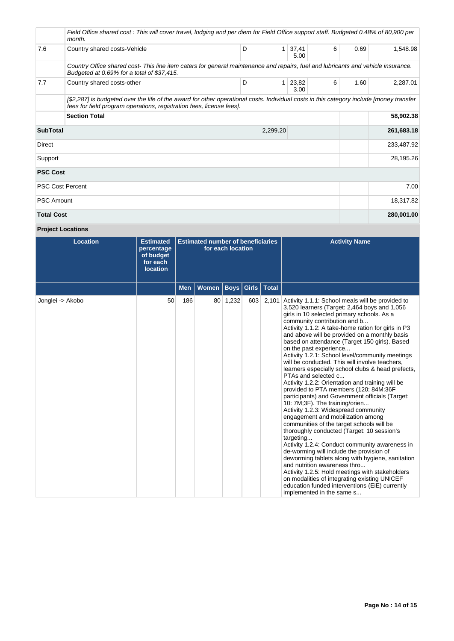|                             | Field Office shared cost: This will cover travel, lodging and per diem for Field Office support staff. Budgeted 0.48% of 80,900 per<br>month.                                                                   |   |   |               |   |      |            |  |  |  |
|-----------------------------|-----------------------------------------------------------------------------------------------------------------------------------------------------------------------------------------------------------------|---|---|---------------|---|------|------------|--|--|--|
| 7.6                         | Country shared costs-Vehicle                                                                                                                                                                                    | D | 1 | 37,41<br>5.00 | 6 | 0.69 | 1,548.98   |  |  |  |
|                             | Country Office shared cost-This line item caters for general maintenance and repairs, fuel and lubricants and vehicle insurance.<br>Budgeted at 0.69% for a total of \$37,415.                                  |   |   |               |   |      |            |  |  |  |
| 7.7                         | Country shared costs-other                                                                                                                                                                                      | D | 1 | 23,82<br>3.00 | 6 | 1.60 | 2,287.01   |  |  |  |
|                             | [\$2,287] is budgeted over the life of the award for other operational costs. Individual costs in this category include [money transfer<br>fees for field program operations, registration fees, license fees]. |   |   |               |   |      |            |  |  |  |
|                             | <b>Section Total</b>                                                                                                                                                                                            |   |   |               |   |      | 58,902.38  |  |  |  |
| <b>SubTotal</b><br>2,299.20 |                                                                                                                                                                                                                 |   |   |               |   |      | 261,683.18 |  |  |  |
| <b>Direct</b>               |                                                                                                                                                                                                                 |   |   |               |   |      | 233,487.92 |  |  |  |
| Support                     |                                                                                                                                                                                                                 |   |   |               |   |      | 28,195.26  |  |  |  |
| <b>PSC Cost</b>             |                                                                                                                                                                                                                 |   |   |               |   |      |            |  |  |  |
|                             | <b>PSC Cost Percent</b>                                                                                                                                                                                         |   |   |               |   |      | 7.00       |  |  |  |
| <b>PSC Amount</b>           |                                                                                                                                                                                                                 |   |   |               |   |      | 18,317.82  |  |  |  |
| <b>Total Cost</b>           |                                                                                                                                                                                                                 |   |   |               |   |      | 280,001.00 |  |  |  |

# **Project Locations**

| <b>Location</b>  | <b>Estimated</b><br>percentage<br>of budget<br>for each<br><b>location</b> | <b>Estimated number of beneficiaries</b><br>for each location |       |             |               |              | <b>Activity Name</b>                                                                                                                                                                                                                                                                                                                                                                                                                                                                                                                                                                                                                                                                                                                                                                                                                                                                                                                                                                                                                                                                                                                                                                                                                                                                         |
|------------------|----------------------------------------------------------------------------|---------------------------------------------------------------|-------|-------------|---------------|--------------|----------------------------------------------------------------------------------------------------------------------------------------------------------------------------------------------------------------------------------------------------------------------------------------------------------------------------------------------------------------------------------------------------------------------------------------------------------------------------------------------------------------------------------------------------------------------------------------------------------------------------------------------------------------------------------------------------------------------------------------------------------------------------------------------------------------------------------------------------------------------------------------------------------------------------------------------------------------------------------------------------------------------------------------------------------------------------------------------------------------------------------------------------------------------------------------------------------------------------------------------------------------------------------------------|
|                  |                                                                            | <b>Men</b>                                                    | Women | <b>Boys</b> | $ $ Girls $ $ | <b>Total</b> |                                                                                                                                                                                                                                                                                                                                                                                                                                                                                                                                                                                                                                                                                                                                                                                                                                                                                                                                                                                                                                                                                                                                                                                                                                                                                              |
| Jonglei -> Akobo | 50                                                                         | 186                                                           |       | 80 1,232    | 603           | 2,101        | Activity 1.1.1: School meals will be provided to<br>3,520 learners (Target: 2,464 boys and 1,056<br>girls in 10 selected primary schools. As a<br>community contribution and b<br>Activity 1.1.2: A take-home ration for girls in P3<br>and above will be provided on a monthly basis<br>based on attendance (Target 150 girls). Based<br>on the past experience<br>Activity 1.2.1: School level/community meetings<br>will be conducted. This will involve teachers,<br>learners especially school clubs & head prefects,<br>PTAs and selected c<br>Activity 1.2.2: Orientation and training will be<br>provided to PTA members (120; 84M:36F<br>participants) and Government officials (Target:<br>10: 7M;3F). The training/orien<br>Activity 1.2.3: Widespread community<br>engagement and mobilization among<br>communities of the target schools will be<br>thoroughly conducted (Target: 10 session's<br>targeting<br>Activity 1.2.4: Conduct community awareness in<br>de-worming will include the provision of<br>deworming tablets along with hygiene, sanitation<br>and nutrition awareness thro<br>Activity 1.2.5: Hold meetings with stakeholders<br>on modalities of integrating existing UNICEF<br>education funded interventions (EiE) currently<br>implemented in the same s |